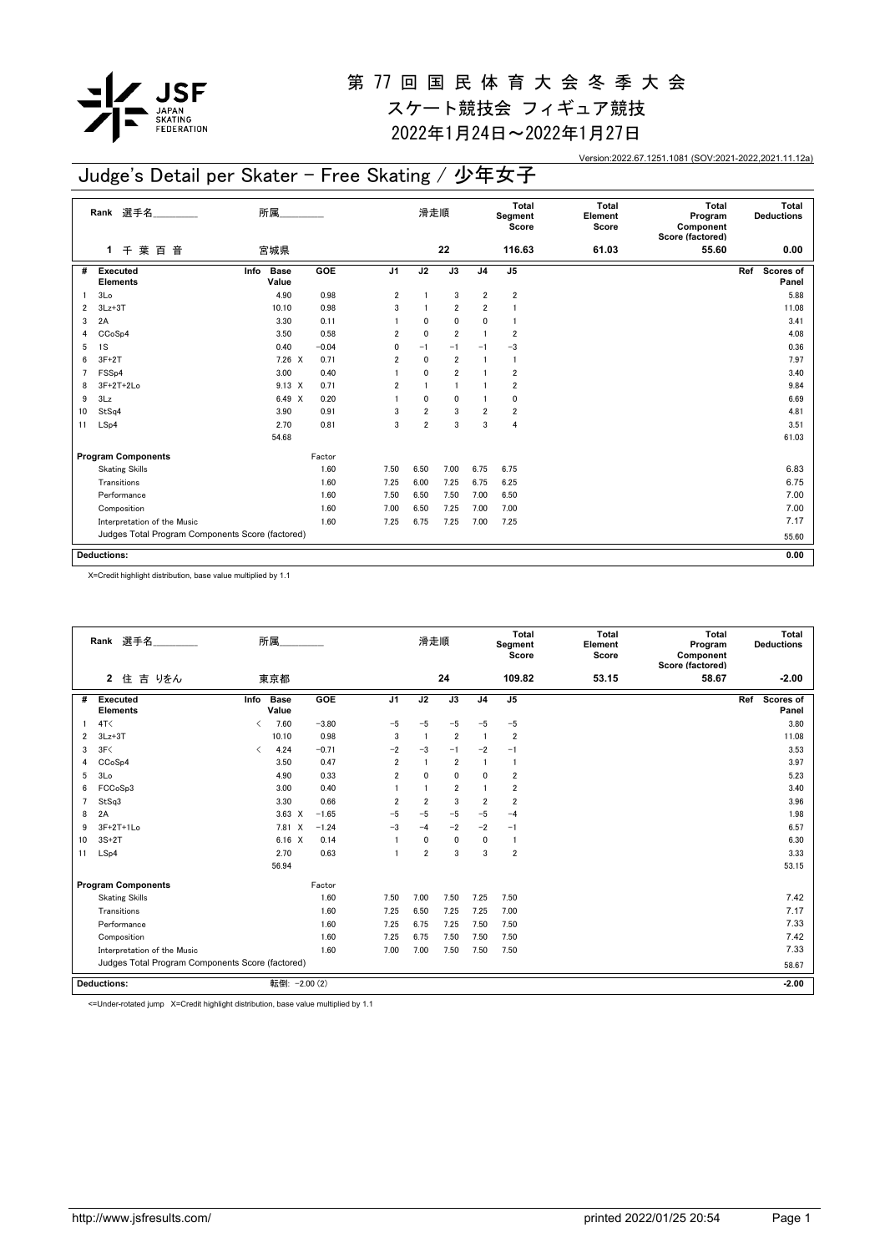

2022年1月24日~2022年1月27日

Version:2022.67.1251.1081 (SOV:2021-2022,2021.11.12a)

## Judge's Detail per Skater - Free Skating / 少年女子

|                | Rank 選手名                                         | 所属                           |         |                | 滑走順                     |                 |                         | Total<br>Segment<br>Score | <b>Total</b><br>Element<br>Score | Total<br>Program<br>Component<br>Score (factored) | Total<br><b>Deductions</b> |
|----------------|--------------------------------------------------|------------------------------|---------|----------------|-------------------------|-----------------|-------------------------|---------------------------|----------------------------------|---------------------------------------------------|----------------------------|
|                | 千葉百音<br>1                                        | 宮城県                          |         |                |                         | 22              |                         | 116.63                    | 61.03                            | 55.60                                             | 0.00                       |
| #              | <b>Executed</b><br><b>Elements</b>               | Info<br><b>Base</b><br>Value | GOE     | J <sub>1</sub> | J <sub>2</sub>          | $\overline{J3}$ | J <sub>4</sub>          | $\overline{J5}$           |                                  |                                                   | Scores of<br>Ref<br>Panel  |
|                | 3 <sub>Lo</sub>                                  | 4.90                         | 0.98    | $\overline{2}$ |                         | 3               | $\overline{2}$          | $\overline{2}$            |                                  |                                                   | 5.88                       |
| $\overline{2}$ | $3Lz + 3T$                                       | 10.10                        | 0.98    | 3              |                         | $\overline{2}$  | $\overline{2}$          |                           |                                  |                                                   | 11.08                      |
| 3              | 2A                                               | 3.30                         | 0.11    |                | 0                       | $\mathbf 0$     | 0                       |                           |                                  |                                                   | 3.41                       |
| 4              | CCoSp4                                           | 3.50                         | 0.58    | $\overline{2}$ | 0                       | $\overline{2}$  | 1                       | $\overline{2}$            |                                  |                                                   | 4.08                       |
| 5              | 1S                                               | 0.40                         | $-0.04$ | 0              | $-1$                    | $-1$            | $-1$                    | $-3$                      |                                  |                                                   | 0.36                       |
| 6              | $3F+2T$                                          | $7.26 \times$                | 0.71    | $\overline{2}$ | $\mathbf 0$             | $\overline{2}$  | 1                       | $\mathbf{1}$              |                                  |                                                   | 7.97                       |
|                | FSS <sub>p4</sub>                                | 3.00                         | 0.40    |                | 0                       | $\overline{2}$  | 1                       | $\overline{\mathbf{2}}$   |                                  |                                                   | 3.40                       |
| 8              | $3F+2T+2Lo$                                      | $9.13 \times$                | 0.71    | $\overline{2}$ |                         | $\overline{1}$  |                         | $\overline{\mathbf{2}}$   |                                  |                                                   | 9.84                       |
| 9              | 3Lz                                              | 6.49 X                       | 0.20    |                | 0                       | $\mathbf 0$     |                         | 0                         |                                  |                                                   | 6.69                       |
| 10             | StSq4                                            | 3.90                         | 0.91    | 3              | $\overline{\mathbf{c}}$ | 3               | $\overline{\mathbf{2}}$ | $\overline{2}$            |                                  |                                                   | 4.81                       |
| 11             | LSp4                                             | 2.70                         | 0.81    | 3              | $\overline{2}$          | 3               | 3                       | 4                         |                                  |                                                   | 3.51                       |
|                |                                                  | 54.68                        |         |                |                         |                 |                         |                           |                                  |                                                   | 61.03                      |
|                | <b>Program Components</b>                        |                              | Factor  |                |                         |                 |                         |                           |                                  |                                                   |                            |
|                | <b>Skating Skills</b>                            |                              | 1.60    | 7.50           | 6.50                    | 7.00            | 6.75                    | 6.75                      |                                  |                                                   | 6.83                       |
|                | Transitions                                      |                              | 1.60    | 7.25           | 6.00                    | 7.25            | 6.75                    | 6.25                      |                                  |                                                   | 6.75                       |
|                | Performance                                      |                              | 1.60    | 7.50           | 6.50                    | 7.50            | 7.00                    | 6.50                      |                                  |                                                   | 7.00                       |
|                | Composition                                      |                              | 1.60    | 7.00           | 6.50                    | 7.25            | 7.00                    | 7.00                      |                                  |                                                   | 7.00                       |
|                | Interpretation of the Music                      |                              | 1.60    | 7.25           | 6.75                    | 7.25            | 7.00                    | 7.25                      |                                  |                                                   | 7.17                       |
|                | Judges Total Program Components Score (factored) |                              |         |                |                         |                 |                         |                           |                                  |                                                   | 55.60                      |
|                |                                                  |                              |         |                |                         |                 |                         |                           |                                  |                                                   |                            |
|                | <b>Deductions:</b>                               |                              |         |                |                         |                 |                         |                           |                                  |                                                   | 0.00                       |

X=Credit highlight distribution, base value multiplied by 1.1

|    | Rank 選手名                                         |                               | 所属                   |         |                | 滑走順            |                |                | <b>Total</b><br>Segment<br>Score | <b>Total</b><br>Element<br>Score | <b>Total</b><br>Program<br>Component<br>Score (factored) | Total<br><b>Deductions</b> |
|----|--------------------------------------------------|-------------------------------|----------------------|---------|----------------|----------------|----------------|----------------|----------------------------------|----------------------------------|----------------------------------------------------------|----------------------------|
|    | 吉 りをん<br>$\overline{2}$<br>住                     |                               | 東京都                  |         |                |                | 24             |                | 109.82                           | 53.15                            | 58.67                                                    | $-2.00$                    |
| #  | <b>Executed</b><br><b>Elements</b>               | Info                          | <b>Base</b><br>Value | GOE     | J1             | J2             | J3             | J <sub>4</sub> | J <sub>5</sub>                   |                                  |                                                          | Scores of<br>Ref<br>Panel  |
| 1  | 4T<                                              | ≺                             | 7.60                 | $-3.80$ | $-5$           | $-5$           | $-5$           | $-5$           | $-5$                             |                                  |                                                          | 3.80                       |
| 2  | $3Lz + 3T$                                       |                               | 10.10                | 0.98    | 3              | $\overline{1}$ | $\overline{2}$ | $\overline{1}$ | $\overline{2}$                   |                                  |                                                          | 11.08                      |
| 3  | 3F<                                              | $\overline{\left( \right. }%$ | 4.24                 | $-0.71$ | $-2$           | $-3$           | $-1$           | $-2$           | $-1$                             |                                  |                                                          | 3.53                       |
| 4  | CCoSp4                                           |                               | 3.50                 | 0.47    | $\overline{2}$ | $\overline{1}$ | $\overline{2}$ |                | -1                               |                                  |                                                          | 3.97                       |
| 5  | 3Lo                                              |                               | 4.90                 | 0.33    | $\overline{2}$ | $\mathbf 0$    | $\mathbf{0}$   | 0              | $\overline{\mathbf{2}}$          |                                  |                                                          | 5.23                       |
| 6  | FCCoSp3                                          |                               | 3.00                 | 0.40    |                | $\mathbf{1}$   | $\overline{2}$ |                | $\overline{2}$                   |                                  |                                                          | 3.40                       |
| 7  | StSq3                                            |                               | 3.30                 | 0.66    | $\overline{2}$ | $\overline{2}$ | 3              | $\overline{2}$ | $\overline{2}$                   |                                  |                                                          | 3.96                       |
| 8  | 2A                                               |                               | $3.63 \times$        | $-1.65$ | $-5$           | $-5$           | $-5$           | $-5$           | $-4$                             |                                  |                                                          | 1.98                       |
| 9  | 3F+2T+1Lo                                        |                               | 7.81<br>$\times$     | $-1.24$ | $-3$           | $-4$           | $-2$           | $-2$           | $-1$                             |                                  |                                                          | 6.57                       |
| 10 | $3S+2T$                                          |                               | $6.16 \quad X$       | 0.14    |                | $\mathbf{0}$   | $\mathbf{0}$   | $\mathbf{0}$   | $\mathbf{1}$                     |                                  |                                                          | 6.30                       |
| 11 | LSp4                                             |                               | 2.70                 | 0.63    |                | $\overline{2}$ | 3              | 3              | $\overline{2}$                   |                                  |                                                          | 3.33                       |
|    |                                                  |                               | 56.94                |         |                |                |                |                |                                  |                                  |                                                          | 53.15                      |
|    | <b>Program Components</b>                        |                               |                      | Factor  |                |                |                |                |                                  |                                  |                                                          |                            |
|    | <b>Skating Skills</b>                            |                               |                      | 1.60    | 7.50           | 7.00           | 7.50           | 7.25           | 7.50                             |                                  |                                                          | 7.42                       |
|    | Transitions                                      |                               |                      | 1.60    | 7.25           | 6.50           | 7.25           | 7.25           | 7.00                             |                                  |                                                          | 7.17                       |
|    | Performance                                      |                               |                      | 1.60    | 7.25           | 6.75           | 7.25           | 7.50           | 7.50                             |                                  |                                                          | 7.33                       |
|    | Composition                                      |                               |                      | 1.60    | 7.25           | 6.75           | 7.50           | 7.50           | 7.50                             |                                  |                                                          | 7.42                       |
|    | Interpretation of the Music                      |                               |                      | 1.60    | 7.00           | 7.00           | 7.50           | 7.50           | 7.50                             |                                  |                                                          | 7.33                       |
|    | Judges Total Program Components Score (factored) |                               |                      |         |                |                |                |                |                                  |                                  |                                                          | 58.67                      |
|    | <b>Deductions:</b>                               |                               | 転倒: -2.00 (2)        |         |                |                |                |                |                                  |                                  |                                                          | $-2.00$                    |

<=Under-rotated jump X=Credit highlight distribution, base value multiplied by 1.1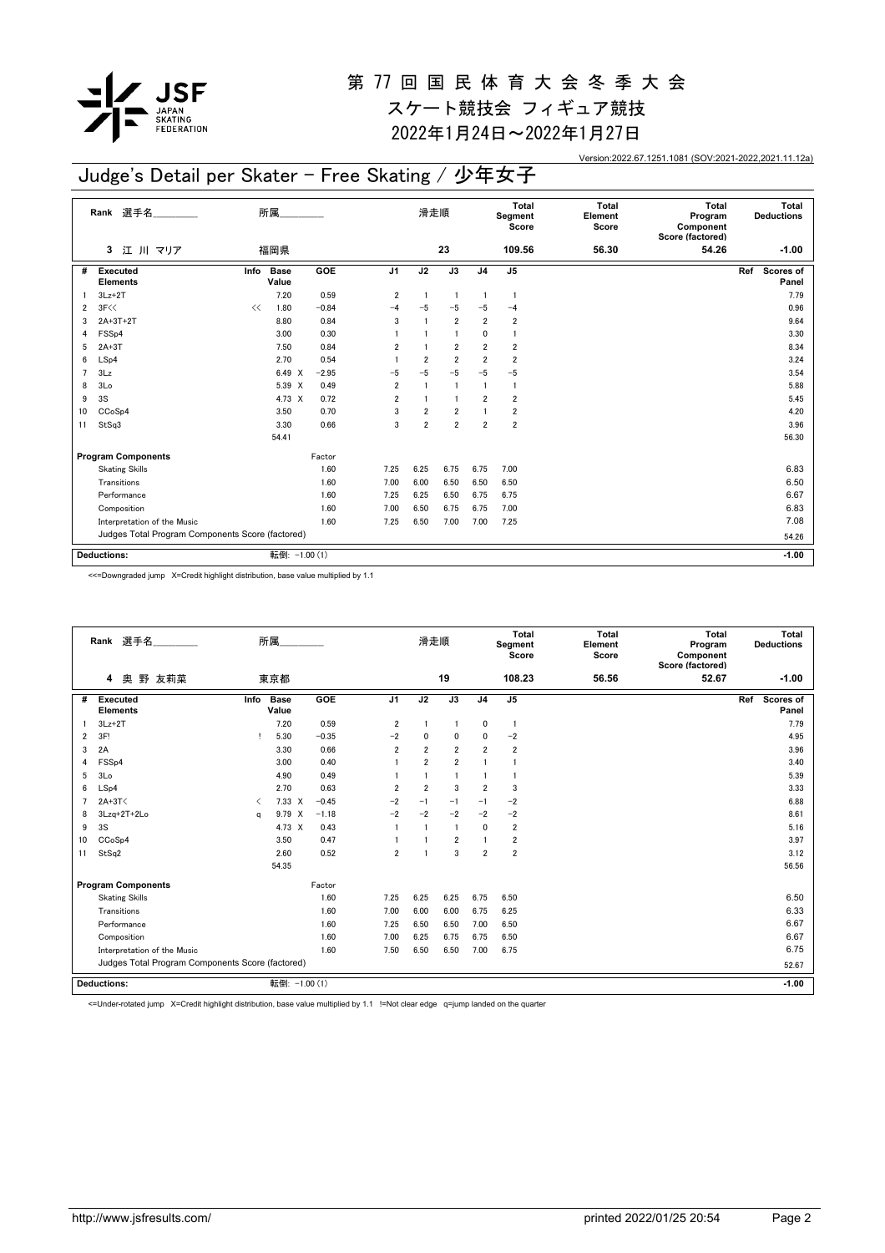

2022年1月24日~2022年1月27日

Version:2022.67.1251.1081 (SOV:2021-2022,2021.11.12a)

# Judge's Detail per Skater - Free Skating / 少年女子

|    | Rank 選手名                                         |      | 所属                   |            |                | 滑走順            |                 |                | Total<br>Segment<br>Score | <b>Total</b><br>Element<br>Score | <b>Total</b><br>Program<br>Component<br>Score (factored) | Total<br><b>Deductions</b> |
|----|--------------------------------------------------|------|----------------------|------------|----------------|----------------|-----------------|----------------|---------------------------|----------------------------------|----------------------------------------------------------|----------------------------|
|    | 江 川 マリア<br>3                                     |      | 福岡県                  |            |                |                | 23              |                | 109.56                    | 56.30                            | 54.26                                                    | $-1.00$                    |
| #  | Executed<br><b>Elements</b>                      | Info | <b>Base</b><br>Value | <b>GOE</b> | J1             | J <sub>2</sub> | $\overline{J3}$ | J <sub>4</sub> | J <sub>5</sub>            |                                  |                                                          | Ref<br>Scores of<br>Panel  |
|    | $3Lz + 2T$                                       |      | 7.20                 | 0.59       | $\overline{2}$ | $\mathbf{1}$   | $\overline{1}$  | $\overline{1}$ | $\overline{1}$            |                                  |                                                          | 7.79                       |
| 2  | 3F<<                                             | <<   | 1.80                 | $-0.84$    | -4             | $-5$           | $-5$            | $-5$           | $-4$                      |                                  |                                                          | 0.96                       |
| 3  | $2A+3T+2T$                                       |      | 8.80                 | 0.84       | 3              |                | $\overline{2}$  | $\overline{2}$ | 2                         |                                  |                                                          | 9.64                       |
| 4  | FSS <sub>p4</sub>                                |      | 3.00                 | 0.30       |                |                | $\mathbf{1}$    | 0              | -1                        |                                  |                                                          | 3.30                       |
| 5  | $2A+3T$                                          |      | 7.50                 | 0.84       | $\overline{2}$ |                | $\overline{2}$  | $\overline{2}$ | $\overline{\mathbf{2}}$   |                                  |                                                          | 8.34                       |
| 6  | LSp4                                             |      | 2.70                 | 0.54       | -1             | $\overline{2}$ | $\overline{2}$  | $\overline{2}$ | $\overline{2}$            |                                  |                                                          | 3.24                       |
|    | 3Lz                                              |      | 6.49<br>$\times$     | $-2.95$    | -5             | $-5$           | $-5$            | $-5$           | $-5$                      |                                  |                                                          | 3.54                       |
| 8  | 3Lo                                              |      | 5.39 X               | 0.49       | $\overline{2}$ |                | -1              |                | -1                        |                                  |                                                          | 5.88                       |
| 9  | 3S                                               |      | 4.73 X               | 0.72       | $\overline{2}$ | $\mathbf{1}$   | $\overline{1}$  | $\overline{2}$ | $\overline{2}$            |                                  |                                                          | 5.45                       |
| 10 | CCoSp4                                           |      | 3.50                 | 0.70       | 3              | $\overline{2}$ | $\overline{2}$  |                | 2                         |                                  |                                                          | 4.20                       |
| 11 | StSq3                                            |      | 3.30                 | 0.66       | 3              | $\overline{2}$ | $\overline{2}$  | $\overline{2}$ | $\overline{2}$            |                                  |                                                          | 3.96                       |
|    |                                                  |      | 54.41                |            |                |                |                 |                |                           |                                  |                                                          | 56.30                      |
|    | <b>Program Components</b>                        |      |                      | Factor     |                |                |                 |                |                           |                                  |                                                          |                            |
|    | <b>Skating Skills</b>                            |      |                      | 1.60       | 7.25           | 6.25           | 6.75            | 6.75           | 7.00                      |                                  |                                                          | 6.83                       |
|    | Transitions                                      |      |                      | 1.60       | 7.00           | 6.00           | 6.50            | 6.50           | 6.50                      |                                  |                                                          | 6.50                       |
|    | Performance                                      |      |                      | 1.60       | 7.25           | 6.25           | 6.50            | 6.75           | 6.75                      |                                  |                                                          | 6.67                       |
|    | Composition                                      |      |                      | 1.60       | 7.00           | 6.50           | 6.75            | 6.75           | 7.00                      |                                  |                                                          | 6.83                       |
|    | Interpretation of the Music                      |      |                      | 1.60       | 7.25           | 6.50           | 7.00            | 7.00           | 7.25                      |                                  |                                                          | 7.08                       |
|    | Judges Total Program Components Score (factored) |      |                      |            |                |                |                 |                |                           |                                  |                                                          | 54.26                      |
|    | <b>Deductions:</b>                               |      | 転倒: -1.00 (1)        |            |                |                |                 |                |                           |                                  |                                                          | $-1.00$                    |

<<=Downgraded jump X=Credit highlight distribution, base value multiplied by 1.1

|                | Rank 選手名                                         |      | 所属                   |         |                | 滑走順            |                |                | Total<br>Segment<br>Score | <b>Total</b><br>Element<br>Score | Total<br>Program<br>Component<br>Score (factored) |     | Total<br><b>Deductions</b> |
|----------------|--------------------------------------------------|------|----------------------|---------|----------------|----------------|----------------|----------------|---------------------------|----------------------------------|---------------------------------------------------|-----|----------------------------|
|                | 奥<br>野<br>友莉菜<br>4                               |      | 東京都                  |         |                |                | 19             |                | 108.23                    | 56.56                            | 52.67                                             |     | $-1.00$                    |
| #              | <b>Executed</b><br><b>Elements</b>               | Info | <b>Base</b><br>Value | GOE     | J <sub>1</sub> | J2             | J3             | J <sub>4</sub> | J <sub>5</sub>            |                                  |                                                   | Ref | Scores of<br>Panel         |
|                | $3Lz+2T$                                         |      | 7.20                 | 0.59    | 2              | $\overline{1}$ | $\blacksquare$ | 0              | -1                        |                                  |                                                   |     | 7.79                       |
| $\overline{2}$ | 3F!                                              |      | 5.30                 | $-0.35$ | $-2$           | $\mathbf 0$    | $\mathbf 0$    | $\mathbf{0}$   | $-2$                      |                                  |                                                   |     | 4.95                       |
| 3              | 2A                                               |      | 3.30                 | 0.66    | $\overline{2}$ | $\overline{2}$ | $\overline{2}$ | $\overline{2}$ | $\overline{2}$            |                                  |                                                   |     | 3.96                       |
| 4              | FSS <sub>p4</sub>                                |      | 3.00                 | 0.40    |                | $\overline{2}$ | $\overline{2}$ |                |                           |                                  |                                                   |     | 3.40                       |
| 5              | 3 <sub>Lo</sub>                                  |      | 4.90                 | 0.49    |                | $\overline{1}$ | $\overline{1}$ |                |                           |                                  |                                                   |     | 5.39                       |
| 6              | LSp4                                             |      | 2.70                 | 0.63    | $\overline{2}$ | $\overline{2}$ | 3              | $\overline{2}$ | 3                         |                                  |                                                   |     | 3.33                       |
| 7              | $2A+3T<$                                         | ≺    | $7.33 \times$        | $-0.45$ | $-2$           | $-1$           | $-1$           | $-1$           | $-2$                      |                                  |                                                   |     | 6.88                       |
| 8              | 3Lzq+2T+2Lo                                      | q    | 9.79 X               | $-1.18$ | $-2$           | $-2$           | $-2$           | $-2$           | $-2$                      |                                  |                                                   |     | 8.61                       |
| 9              | 3S                                               |      | 4.73 X               | 0.43    |                | $\overline{1}$ | $\overline{1}$ | $\Omega$       | $\overline{\mathbf{2}}$   |                                  |                                                   |     | 5.16                       |
| 10             | CCoSp4                                           |      | 3.50                 | 0.47    |                |                | $\overline{2}$ |                | $\overline{2}$            |                                  |                                                   |     | 3.97                       |
| 11             | StSq2                                            |      | 2.60                 | 0.52    | $\overline{2}$ | -1             | 3              | $\overline{2}$ | $\overline{2}$            |                                  |                                                   |     | 3.12                       |
|                |                                                  |      | 54.35                |         |                |                |                |                |                           |                                  |                                                   |     | 56.56                      |
|                | <b>Program Components</b>                        |      |                      | Factor  |                |                |                |                |                           |                                  |                                                   |     |                            |
|                | <b>Skating Skills</b>                            |      |                      | 1.60    | 7.25           | 6.25           | 6.25           | 6.75           | 6.50                      |                                  |                                                   |     | 6.50                       |
|                | Transitions                                      |      |                      | 1.60    | 7.00           | 6.00           | 6.00           | 6.75           | 6.25                      |                                  |                                                   |     | 6.33                       |
|                | Performance                                      |      |                      | 1.60    | 7.25           | 6.50           | 6.50           | 7.00           | 6.50                      |                                  |                                                   |     | 6.67                       |
|                | Composition                                      |      |                      | 1.60    | 7.00           | 6.25           | 6.75           | 6.75           | 6.50                      |                                  |                                                   |     | 6.67                       |
|                | Interpretation of the Music                      |      |                      | 1.60    | 7.50           | 6.50           | 6.50           | 7.00           | 6.75                      |                                  |                                                   |     | 6.75                       |
|                | Judges Total Program Components Score (factored) |      |                      |         |                |                |                |                |                           |                                  |                                                   |     | 52.67                      |
|                | Deductions:                                      |      | 転倒: -1.00 (1)        |         |                |                |                |                |                           |                                  |                                                   |     | $-1.00$                    |

<=Under-rotated jump X=Credit highlight distribution, base value multiplied by 1.1 !=Not clear edge q=jump landed on the quarter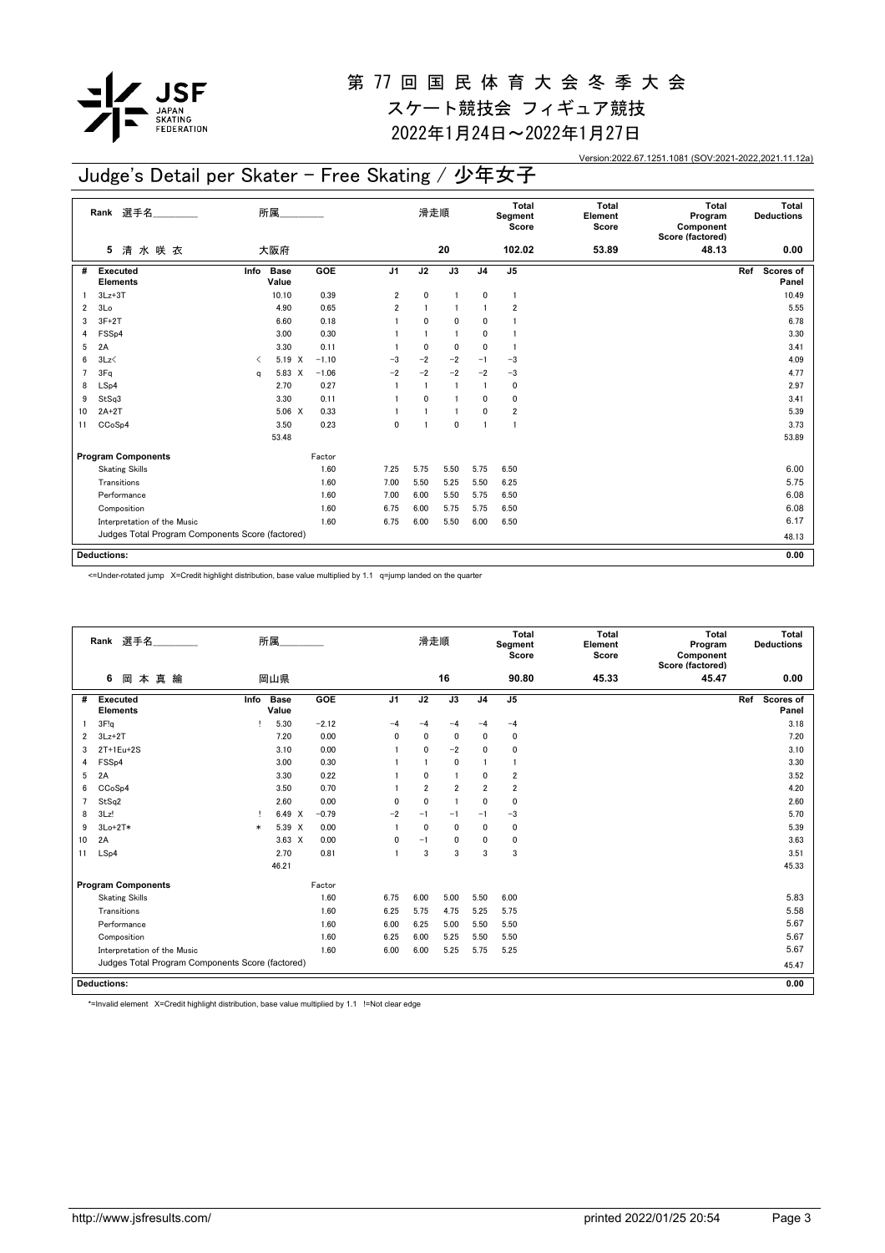

2022年1月24日~2022年1月27日

Version:2022.67.1251.1081 (SOV:2021-2022,2021.11.12a)

## Judge's Detail per Skater - Free Skating / 少年女子

|                         | Rank 選手名                                         |                               | 所属                   |         |                | 滑走順            |                |                | Total<br>Segment<br>Score | <b>Total</b><br>Element<br>Score | <b>Total</b><br>Program<br>Component<br>Score (factored) | Total<br><b>Deductions</b> |
|-------------------------|--------------------------------------------------|-------------------------------|----------------------|---------|----------------|----------------|----------------|----------------|---------------------------|----------------------------------|----------------------------------------------------------|----------------------------|
|                         | 清水咲衣<br>5                                        |                               | 大阪府                  |         |                |                | 20             |                | 102.02                    | 53.89                            | 48.13                                                    | 0.00                       |
| #                       | Executed<br><b>Elements</b>                      | Info                          | <b>Base</b><br>Value | GOE     | J <sub>1</sub> | J2             | J3             | J <sub>4</sub> | J <sub>5</sub>            |                                  |                                                          | Ref<br>Scores of<br>Panel  |
|                         | $3Lz + 3T$                                       |                               | 10.10                | 0.39    | 2              | $\pmb{0}$      | $\blacksquare$ | 0              | $\mathbf{1}$              |                                  |                                                          | 10.49                      |
| $\overline{\mathbf{2}}$ | 3Lo                                              |                               | 4.90                 | 0.65    | 2              | $\overline{1}$ |                |                | $\overline{\mathbf{2}}$   |                                  |                                                          | 5.55                       |
| 3                       | $3F+2T$                                          |                               | 6.60                 | 0.18    |                | $\mathbf 0$    | $\mathbf 0$    | 0              | 1                         |                                  |                                                          | 6.78                       |
| 4                       | FSSp4                                            |                               | 3.00                 | 0.30    |                | $\overline{1}$ | $\overline{1}$ | 0              | 1                         |                                  |                                                          | 3.30                       |
| 5                       | 2A                                               |                               | 3.30                 | 0.11    |                | $\mathbf{0}$   | $\mathbf 0$    | $\mathbf{0}$   | $\mathbf{1}$              |                                  |                                                          | 3.41                       |
| 6                       | 3Lz                                              | $\overline{\left( \right. }%$ | 5.19 X               | $-1.10$ | $-3$           | $-2$           | $-2$           | $-1$           | $-3$                      |                                  |                                                          | 4.09                       |
| $\overline{7}$          | 3Fq                                              | a                             | 5.83 X               | $-1.06$ | $-2$           | $-2$           | $-2$           | $-2$           | $-3$                      |                                  |                                                          | 4.77                       |
| 8                       | LSp4                                             |                               | 2.70                 | 0.27    | $\overline{1}$ | $\overline{1}$ | $\overline{1}$ | $\mathbf{1}$   | $\pmb{0}$                 |                                  |                                                          | 2.97                       |
| 9                       | StSq3                                            |                               | 3.30                 | 0.11    |                | $\mathbf 0$    |                | $\mathbf{0}$   | 0                         |                                  |                                                          | 3.41                       |
| 10                      | $2A+2T$                                          |                               | $5.06 \quad X$       | 0.33    |                |                | $\mathbf{1}$   | $\mathbf{0}$   | $\overline{\mathbf{2}}$   |                                  |                                                          | 5.39                       |
| 11                      | CCoSp4                                           |                               | 3.50                 | 0.23    | 0              |                | $\mathbf 0$    | $\overline{1}$ | $\mathbf{1}$              |                                  |                                                          | 3.73                       |
|                         |                                                  |                               | 53.48                |         |                |                |                |                |                           |                                  |                                                          | 53.89                      |
|                         | <b>Program Components</b>                        |                               |                      | Factor  |                |                |                |                |                           |                                  |                                                          |                            |
|                         | <b>Skating Skills</b>                            |                               |                      | 1.60    | 7.25           | 5.75           | 5.50           | 5.75           | 6.50                      |                                  |                                                          | 6.00                       |
|                         | Transitions                                      |                               |                      | 1.60    | 7.00           | 5.50           | 5.25           | 5.50           | 6.25                      |                                  |                                                          | 5.75                       |
|                         | Performance                                      |                               |                      | 1.60    | 7.00           | 6.00           | 5.50           | 5.75           | 6.50                      |                                  |                                                          | 6.08                       |
|                         | Composition                                      |                               |                      | 1.60    | 6.75           | 6.00           | 5.75           | 5.75           | 6.50                      |                                  |                                                          | 6.08                       |
|                         | Interpretation of the Music                      |                               |                      | 1.60    | 6.75           | 6.00           | 5.50           | 6.00           | 6.50                      |                                  |                                                          | 6.17                       |
|                         | Judges Total Program Components Score (factored) |                               |                      |         |                |                |                |                |                           |                                  |                                                          | 48.13                      |
|                         |                                                  |                               |                      |         |                |                |                |                |                           |                                  |                                                          |                            |
|                         | <b>Deductions:</b>                               |                               |                      |         |                |                |                |                |                           |                                  |                                                          | 0.00                       |

<=Under-rotated jump X=Credit highlight distribution, base value multiplied by 1.1 q=jump landed on the quarter

|                | Rank 選手名                                         |        | 所属                   |         |                | 滑走順            |                |                | Total<br>Segment<br>Score | <b>Total</b><br>Element<br>Score | <b>Total</b><br>Program<br>Component<br>Score (factored) | Total<br><b>Deductions</b> |
|----------------|--------------------------------------------------|--------|----------------------|---------|----------------|----------------|----------------|----------------|---------------------------|----------------------------------|----------------------------------------------------------|----------------------------|
|                | 6<br>岡<br>本真綸                                    |        | 岡山県                  |         |                |                | 16             |                | 90.80                     | 45.33                            | 45.47                                                    | 0.00                       |
| #              | <b>Executed</b><br><b>Elements</b>               | Info   | <b>Base</b><br>Value | GOE     | J <sub>1</sub> | J2             | J3             | J <sub>4</sub> | J <sub>5</sub>            |                                  |                                                          | Ref<br>Scores of<br>Panel  |
|                | 3F!q                                             | ı      | 5.30                 | $-2.12$ | $-\Delta$      | -4             | $-4$           | -4             | $-4$                      |                                  |                                                          | 3.18                       |
| $\overline{2}$ | $3Lz + 2T$                                       |        | 7.20                 | 0.00    | 0              | $\mathbf{0}$   | 0              | $\mathbf{0}$   | 0                         |                                  |                                                          | 7.20                       |
| 3              | $2T+1Eu+2S$                                      |        | 3.10                 | 0.00    |                | $\mathbf{0}$   | $-2$           | $\mathbf{0}$   | 0                         |                                  |                                                          | 3.10                       |
| 4              | FSS <sub>p4</sub>                                |        | 3.00                 | 0.30    |                |                | 0              |                | $\mathbf{1}$              |                                  |                                                          | 3.30                       |
| 5              | 2A                                               |        | 3.30                 | 0.22    |                | $\mathbf{0}$   | 1              | $\mathbf 0$    | $\overline{2}$            |                                  |                                                          | 3.52                       |
| 6              | CC <sub>o</sub> S <sub>p4</sub>                  |        | 3.50                 | 0.70    |                | $\overline{2}$ | $\overline{2}$ | $\overline{2}$ | $\overline{2}$            |                                  |                                                          | 4.20                       |
| 7              | StSq2                                            |        | 2.60                 | 0.00    | 0              | $\mathbf 0$    | $\mathbf{1}$   | $\mathbf 0$    | $\mathbf 0$               |                                  |                                                          | 2.60                       |
| 8              | 3Lz!                                             | Ţ.     | 6.49 X               | $-0.79$ | $-2$           | $-1$           | $-1$           | $-1$           | $-3$                      |                                  |                                                          | 5.70                       |
| 9              | $3Lo+2T*$                                        | $\ast$ | 5.39 X               | 0.00    |                | $\mathbf{0}$   | 0              | $\mathbf{0}$   | 0                         |                                  |                                                          | 5.39                       |
| 10             | 2A                                               |        | $3.63 \times$        | 0.00    | 0              | $-1$           | 0              | 0              | 0                         |                                  |                                                          | 3.63                       |
| 11             | LSp4                                             |        | 2.70                 | 0.81    |                | 3              | 3              | 3              | 3                         |                                  |                                                          | 3.51                       |
|                |                                                  |        | 46.21                |         |                |                |                |                |                           |                                  |                                                          | 45.33                      |
|                | <b>Program Components</b>                        |        |                      | Factor  |                |                |                |                |                           |                                  |                                                          |                            |
|                | <b>Skating Skills</b>                            |        |                      | 1.60    | 6.75           | 6.00           | 5.00           | 5.50           | 6.00                      |                                  |                                                          | 5.83                       |
|                | Transitions                                      |        |                      | 1.60    | 6.25           | 5.75           | 4.75           | 5.25           | 5.75                      |                                  |                                                          | 5.58                       |
|                | Performance                                      |        |                      | 1.60    | 6.00           | 6.25           | 5.00           | 5.50           | 5.50                      |                                  |                                                          | 5.67                       |
|                | Composition                                      |        |                      | 1.60    | 6.25           | 6.00           | 5.25           | 5.50           | 5.50                      |                                  |                                                          | 5.67                       |
|                | Interpretation of the Music                      |        |                      | 1.60    | 6.00           | 6.00           | 5.25           | 5.75           | 5.25                      |                                  |                                                          | 5.67                       |
|                | Judges Total Program Components Score (factored) |        |                      |         |                |                |                |                |                           |                                  |                                                          | 45.47                      |
|                | <b>Deductions:</b>                               |        |                      |         |                |                |                |                |                           |                                  |                                                          | 0.00                       |

\*=Invalid element X=Credit highlight distribution, base value multiplied by 1.1 !=Not clear edge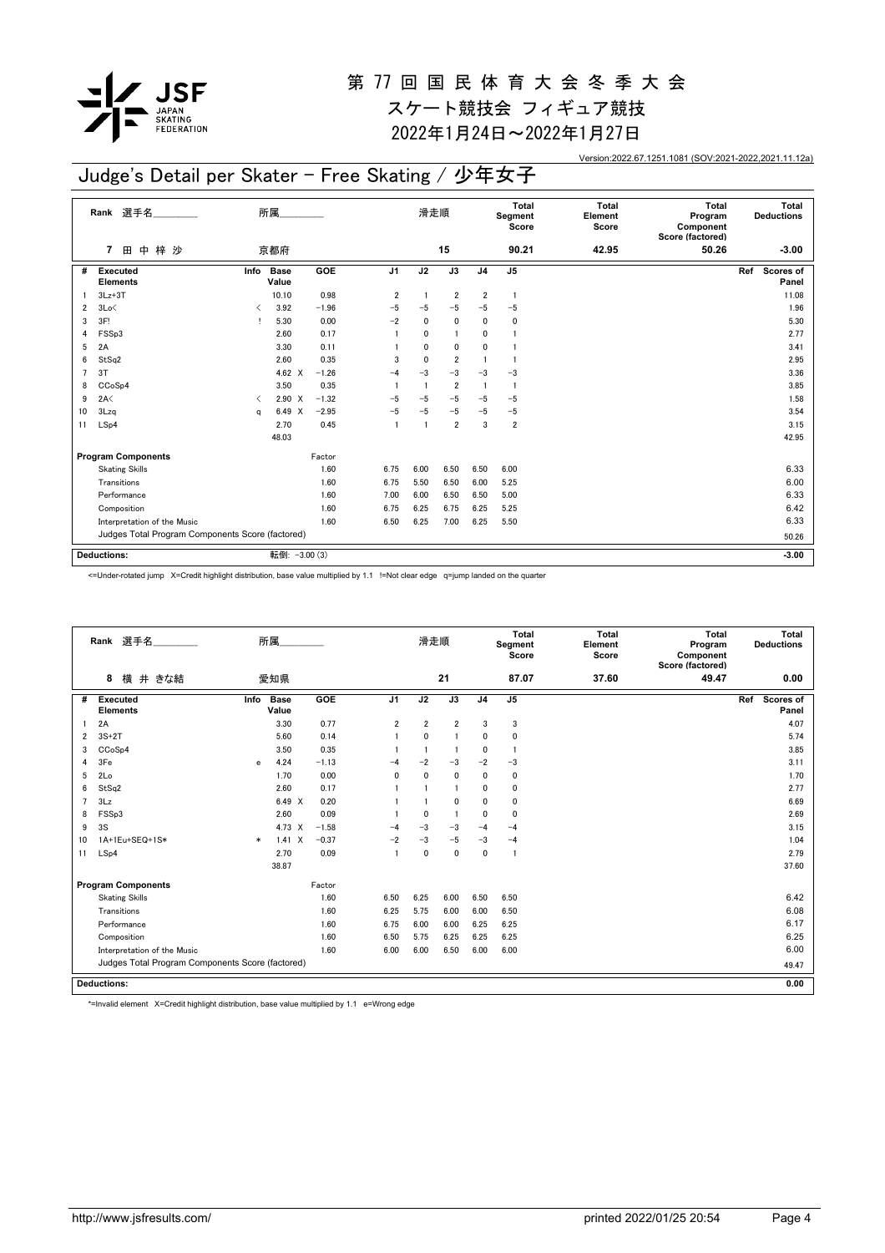

2022年1月24日~2022年1月27日

Version:2022.67.1251.1081 (SOV:2021-2022,2021.11.12a)

## Judge's Detail per Skater - Free Skating / 少年女子

|                | 選手名<br>Rank                                      |      | 所属                   |         |                | 滑走順                     |                 |                         | Total<br>Segment<br>Score | <b>Total</b><br>Element<br>Score | <b>Total</b><br>Program<br>Component<br>Score (factored) | Total<br><b>Deductions</b> |
|----------------|--------------------------------------------------|------|----------------------|---------|----------------|-------------------------|-----------------|-------------------------|---------------------------|----------------------------------|----------------------------------------------------------|----------------------------|
|                | 梓 沙<br>田<br>中<br>7                               |      | 京都府                  |         |                |                         | 15              |                         | 90.21                     | 42.95                            | 50.26                                                    | $-3.00$                    |
| #              | Executed<br><b>Elements</b>                      | Info | <b>Base</b><br>Value | GOE     | J <sub>1</sub> | J2                      | $\overline{J3}$ | J <sub>4</sub>          | J <sub>5</sub>            |                                  |                                                          | Scores of<br>Ref<br>Panel  |
|                | $3Lz + 3T$                                       |      | 10.10                | 0.98    | 2              | $\overline{1}$          | $\overline{2}$  | $\overline{\mathbf{2}}$ | $\mathbf{1}$              |                                  |                                                          | 11.08                      |
| $\overline{2}$ | 3Lo<                                             | ≺    | 3.92                 | $-1.96$ | $-5$           | $-5$                    | $-5$            | $-5$                    | $-5$                      |                                  |                                                          | 1.96                       |
| 3              | 3F!                                              |      | 5.30                 | 0.00    | $-2$           | $\mathbf{0}$            | $\mathbf{0}$    | 0                       | 0                         |                                  |                                                          | 5.30                       |
| 4              | FSSp3                                            |      | 2.60                 | 0.17    |                | $\mathbf{0}$            | $\overline{1}$  | 0                       | 1                         |                                  |                                                          | 2.77                       |
| 5              | 2A                                               |      | 3.30                 | 0.11    |                | $\mathbf{0}$            | $\mathbf 0$     | $\mathbf{0}$            | 1                         |                                  |                                                          | 3.41                       |
| 6              | StSq2                                            |      | 2.60                 | 0.35    | 3              | $\mathbf 0$             | $\overline{2}$  | $\mathbf{1}$            | $\mathbf{1}$              |                                  |                                                          | 2.95                       |
| $\overline{7}$ | 3T                                               |      | 4.62 $\times$        | $-1.26$ | $-4$           | $-3$                    | $-3$            | $-3$                    | $-3$                      |                                  |                                                          | 3.36                       |
| 8              | CCoSp4                                           |      | 3.50                 | 0.35    |                | $\overline{1}$          | $\overline{2}$  | $\overline{1}$          | $\mathbf{1}$              |                                  |                                                          | 3.85                       |
| 9              | 2A<                                              | ≺    | $2.90 \times$        | $-1.32$ | $-5$           | $-5$                    | $-5$            | $-5$                    | $-5$                      |                                  |                                                          | 1.58                       |
| 10             | 3Lzq                                             | a    | 6.49 X               | $-2.95$ | $-5$           | $-5$                    | $-5$            | $-5$                    | $-5$                      |                                  |                                                          | 3.54                       |
| 11             | LSp4                                             |      | 2.70                 | 0.45    | $\overline{1}$ | $\overline{\mathbf{1}}$ | $\overline{2}$  | 3                       | $\overline{\mathbf{2}}$   |                                  |                                                          | 3.15                       |
|                |                                                  |      | 48.03                |         |                |                         |                 |                         |                           |                                  |                                                          | 42.95                      |
|                | <b>Program Components</b>                        |      |                      | Factor  |                |                         |                 |                         |                           |                                  |                                                          |                            |
|                | <b>Skating Skills</b>                            |      |                      | 1.60    | 6.75           | 6.00                    | 6.50            | 6.50                    | 6.00                      |                                  |                                                          | 6.33                       |
|                | Transitions                                      |      |                      | 1.60    | 6.75           | 5.50                    | 6.50            | 6.00                    | 5.25                      |                                  |                                                          | 6.00                       |
|                | Performance                                      |      |                      | 1.60    | 7.00           | 6.00                    | 6.50            | 6.50                    | 5.00                      |                                  |                                                          | 6.33                       |
|                | Composition                                      |      |                      | 1.60    | 6.75           | 6.25                    | 6.75            | 6.25                    | 5.25                      |                                  |                                                          | 6.42                       |
|                | Interpretation of the Music                      |      |                      | 1.60    | 6.50           | 6.25                    | 7.00            | 6.25                    | 5.50                      |                                  |                                                          | 6.33                       |
|                | Judges Total Program Components Score (factored) |      |                      |         |                |                         |                 |                         |                           |                                  |                                                          | 50.26                      |
|                |                                                  |      |                      |         |                |                         |                 |                         |                           |                                  |                                                          |                            |
|                | <b>Deductions:</b>                               |      | 転倒: - 3.00 (3)       |         |                |                         |                 |                         |                           |                                  |                                                          | $-3.00$                    |

<=Under-rotated jump X=Credit highlight distribution, base value multiplied by 1.1 !=Not clear edge q=jump landed on the quarter

|                | Rank 選手名                                         |        | 所属                   |         |                | 滑走順            |                |                | <b>Total</b><br>Segment<br>Score | <b>Total</b><br>Element<br>Score | Total<br>Program<br>Component<br>Score (factored) | <b>Total</b><br><b>Deductions</b> |
|----------------|--------------------------------------------------|--------|----------------------|---------|----------------|----------------|----------------|----------------|----------------------------------|----------------------------------|---------------------------------------------------|-----------------------------------|
|                | 8<br>横 井 きな結                                     |        | 愛知県                  |         |                |                | 21             |                | 87.07                            | 37.60                            | 49.47                                             | 0.00                              |
| #              | <b>Executed</b><br><b>Elements</b>               | Info   | <b>Base</b><br>Value | GOE     | J1             | J2             | J3             | J <sub>4</sub> | J <sub>5</sub>                   |                                  |                                                   | Scores of<br>Ref<br>Panel         |
|                | 2A                                               |        | 3.30                 | 0.77    | $\overline{2}$ | $\overline{2}$ | $\overline{2}$ | 3              | 3                                |                                  |                                                   | 4.07                              |
| 2              | $3S+2T$                                          |        | 5.60                 | 0.14    |                | $\mathbf 0$    |                | 0              | 0                                |                                  |                                                   | 5.74                              |
| 3              | CCoSp4                                           |        | 3.50                 | 0.35    |                | -1             | $\mathbf{1}$   | $\mathbf{0}$   |                                  |                                  |                                                   | 3.85                              |
| 4              | 3Fe                                              | e      | 4.24                 | $-1.13$ | $-4$           | $-2$           | $-3$           | $-2$           | $-3$                             |                                  |                                                   | 3.11                              |
| 5              | 2Lo                                              |        | 1.70                 | 0.00    | 0              | $\mathbf{0}$   | $\mathbf 0$    | 0              | 0                                |                                  |                                                   | 1.70                              |
| 6              | StSq2                                            |        | 2.60                 | 0.17    |                |                | -1             | $\mathbf{0}$   | 0                                |                                  |                                                   | 2.77                              |
| $\overline{7}$ | 3Lz                                              |        | 6.49 X               | 0.20    |                |                | $\mathbf 0$    | $\mathbf{0}$   | 0                                |                                  |                                                   | 6.69                              |
| 8              | FSSp3                                            |        | 2.60                 | 0.09    |                | 0              | $\blacksquare$ | $\Omega$       | 0                                |                                  |                                                   | 2.69                              |
| 9              | 3S                                               |        | 4.73 X               | $-1.58$ | $-4$           | $-3$           | $-3$           | $-4$           | $-4$                             |                                  |                                                   | 3.15                              |
| 10             | 1A+1Eu+SEQ+1S*                                   | $\ast$ | $\sf X$<br>1.41      | $-0.37$ | $-2$           | $-3$           | $-5$           | $-3$           | $-4$                             |                                  |                                                   | 1.04                              |
| 11             | LSp4                                             |        | 2.70                 | 0.09    | $\overline{1}$ | $\mathbf 0$    | $\mathbf{0}$   | $\mathbf 0$    | -1                               |                                  |                                                   | 2.79                              |
|                |                                                  |        | 38.87                |         |                |                |                |                |                                  |                                  |                                                   | 37.60                             |
|                | <b>Program Components</b>                        |        |                      | Factor  |                |                |                |                |                                  |                                  |                                                   |                                   |
|                | <b>Skating Skills</b>                            |        |                      | 1.60    | 6.50           | 6.25           | 6.00           | 6.50           | 6.50                             |                                  |                                                   | 6.42                              |
|                | Transitions                                      |        |                      | 1.60    | 6.25           | 5.75           | 6.00           | 6.00           | 6.50                             |                                  |                                                   | 6.08                              |
|                | Performance                                      |        |                      | 1.60    | 6.75           | 6.00           | 6.00           | 6.25           | 6.25                             |                                  |                                                   | 6.17                              |
|                | Composition                                      |        |                      | 1.60    | 6.50           | 5.75           | 6.25           | 6.25           | 6.25                             |                                  |                                                   | 6.25                              |
|                | Interpretation of the Music                      |        |                      | 1.60    | 6.00           | 6.00           | 6.50           | 6.00           | 6.00                             |                                  |                                                   | 6.00                              |
|                | Judges Total Program Components Score (factored) |        |                      |         |                |                |                |                |                                  |                                  |                                                   | 49.47                             |
|                | <b>Deductions:</b>                               |        |                      |         |                |                |                |                |                                  |                                  |                                                   | 0.00                              |

\*=Invalid element X=Credit highlight distribution, base value multiplied by 1.1 e=Wrong edge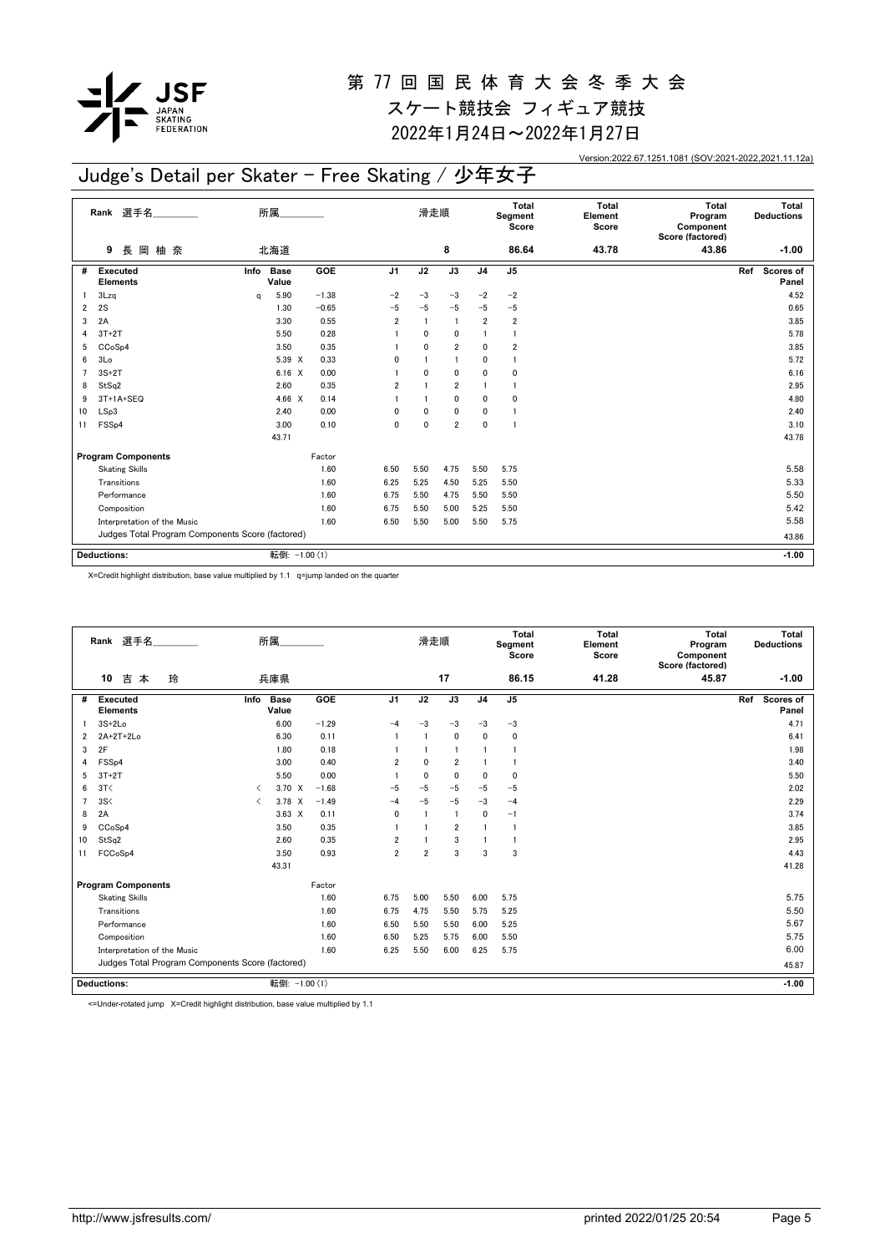

2022年1月24日~2022年1月27日

Version:2022.67.1251.1081 (SOV:2021-2022,2021.11.12a)

## Judge's Detail per Skater - Free Skating / 少年女子

|    | Rank 選手名                                         |      | 所属                   |            |                | 滑走順          |                 |                | Total<br>Segment<br>Score | <b>Total</b><br>Element<br>Score | <b>Total</b><br>Program<br>Component<br>Score (factored) | Total<br><b>Deductions</b> |
|----|--------------------------------------------------|------|----------------------|------------|----------------|--------------|-----------------|----------------|---------------------------|----------------------------------|----------------------------------------------------------|----------------------------|
|    | 長岡柚奈<br>9                                        |      | 北海道                  |            |                |              | 8               |                | 86.64                     | 43.78                            | 43.86                                                    | $-1.00$                    |
| #  | Executed<br><b>Elements</b>                      | Info | <b>Base</b><br>Value | <b>GOE</b> | J1             | J2           | $\overline{J3}$ | J <sub>4</sub> | J <sub>5</sub>            |                                  |                                                          | Ref<br>Scores of<br>Panel  |
|    | 3Lzq                                             | q    | 5.90                 | $-1.38$    | $-2$           | $-3$         | $-3$            | $-2$           | $-2$                      |                                  |                                                          | 4.52                       |
| 2  | 2S                                               |      | 1.30                 | $-0.65$    | $-5$           | $-5$         | $-5$            | $-5$           | $-5$                      |                                  |                                                          | 0.65                       |
| 3  | 2A                                               |      | 3.30                 | 0.55       | $\overline{2}$ | $\mathbf{1}$ | $\overline{1}$  | $\overline{2}$ | 2                         |                                  |                                                          | 3.85                       |
|    | $3T+2T$                                          |      | 5.50                 | 0.28       |                | 0            | $\mathbf{0}$    |                | -1                        |                                  |                                                          | 5.78                       |
| 5  | CCoSp4                                           |      | 3.50                 | 0.35       |                | 0            | $\overline{2}$  | 0              | $\overline{2}$            |                                  |                                                          | 3.85                       |
| 6  | 3Lo                                              |      | 5.39 X               | 0.33       | $\mathbf{0}$   |              | $\mathbf{1}$    | 0              | 1                         |                                  |                                                          | 5.72                       |
|    | $3S+2T$                                          |      | $6.16 \quad X$       | 0.00       |                | 0            | $\mathbf 0$     | 0              | 0                         |                                  |                                                          | 6.16                       |
| 8  | StSq2                                            |      | 2.60                 | 0.35       | $\overline{2}$ |              | $\overline{2}$  |                | 1                         |                                  |                                                          | 2.95                       |
| 9  | 3T+1A+SEQ                                        |      | 4.66 $X$             | 0.14       |                |              | $\mathbf 0$     | 0              | 0                         |                                  |                                                          | 4.80                       |
| 10 | LSp3                                             |      | 2.40                 | 0.00       | 0              | 0            | 0               | 0              | -1                        |                                  |                                                          | 2.40                       |
| 11 | FSS <sub>p4</sub>                                |      | 3.00                 | 0.10       | $\mathbf{0}$   | $\mathbf{0}$ | $\overline{2}$  | $\mathbf{0}$   | $\overline{1}$            |                                  |                                                          | 3.10                       |
|    |                                                  |      | 43.71                |            |                |              |                 |                |                           |                                  |                                                          | 43.78                      |
|    | <b>Program Components</b>                        |      |                      | Factor     |                |              |                 |                |                           |                                  |                                                          |                            |
|    | <b>Skating Skills</b>                            |      |                      | 1.60       | 6.50           | 5.50         | 4.75            | 5.50           | 5.75                      |                                  |                                                          | 5.58                       |
|    | Transitions                                      |      |                      | 1.60       | 6.25           | 5.25         | 4.50            | 5.25           | 5.50                      |                                  |                                                          | 5.33                       |
|    | Performance                                      |      |                      | 1.60       | 6.75           | 5.50         | 4.75            | 5.50           | 5.50                      |                                  |                                                          | 5.50                       |
|    | Composition                                      |      |                      | 1.60       | 6.75           | 5.50         | 5.00            | 5.25           | 5.50                      |                                  |                                                          | 5.42                       |
|    | Interpretation of the Music                      |      |                      | 1.60       | 6.50           | 5.50         | 5.00            | 5.50           | 5.75                      |                                  |                                                          | 5.58                       |
|    | Judges Total Program Components Score (factored) |      |                      |            |                |              |                 |                |                           |                                  |                                                          | 43.86                      |
|    | <b>Deductions:</b>                               |      | 転倒: -1.00 (1)        |            |                |              |                 |                |                           |                                  |                                                          | $-1.00$                    |

X=Credit highlight distribution, base value multiplied by 1.1 q=jump landed on the quarter

|                | Rank 選手名                                         |                                          | 所属                   |         |                | 滑走順            |                |                | <b>Total</b><br>Segment<br>Score | <b>Total</b><br>Element<br>Score | Total<br>Program<br>Component<br>Score (factored) |     | Total<br><b>Deductions</b> |
|----------------|--------------------------------------------------|------------------------------------------|----------------------|---------|----------------|----------------|----------------|----------------|----------------------------------|----------------------------------|---------------------------------------------------|-----|----------------------------|
|                | 10<br>吉<br>玲<br>本                                |                                          | 兵庫県                  |         |                |                | 17             |                | 86.15                            | 41.28                            | 45.87                                             |     | $-1.00$                    |
| #              | <b>Executed</b><br><b>Elements</b>               | Info                                     | <b>Base</b><br>Value | GOE     | J <sub>1</sub> | J2             | J3             | J <sub>4</sub> | J <sub>5</sub>                   |                                  |                                                   | Ref | Scores of<br>Panel         |
|                | $3S+2Lo$                                         |                                          | 6.00                 | $-1.29$ | $-4$           | $-3$           | $-3$           | $-3$           | $-3$                             |                                  |                                                   |     | 4.71                       |
| 2              | 2A+2T+2Lo                                        |                                          | 6.30                 | 0.11    |                |                | $\mathbf 0$    | 0              | $\mathbf 0$                      |                                  |                                                   |     | 6.41                       |
| 3              | 2F                                               |                                          | 1.80                 | 0.18    |                |                | $\blacksquare$ |                | -1                               |                                  |                                                   |     | 1.98                       |
| 4              | FSS <sub>p4</sub>                                |                                          | 3.00                 | 0.40    | $\overline{2}$ | $\mathbf 0$    | $\overline{2}$ |                | $\mathbf{1}$                     |                                  |                                                   |     | 3.40                       |
| 5              | $3T+2T$                                          |                                          | 5.50                 | 0.00    |                | $\mathbf{0}$   | $\mathbf{0}$   | $\mathbf{0}$   | $\Omega$                         |                                  |                                                   |     | 5.50                       |
| 6              | 3T<                                              | $\overline{\left\langle \right\rangle }$ | 3.70 X               | $-1.68$ | $-5$           | $-5$           | $-5$           | $-5$           | $-5$                             |                                  |                                                   |     | 2.02                       |
| $\overline{7}$ | 3S<                                              | $\overline{\left( \right. }%$            | $3.78 \times$        | $-1.49$ | $-4$           | $-5$           | $-5$           | $-3$           | $-4$                             |                                  |                                                   |     | 2.29                       |
| 8              | 2A                                               |                                          | $3.63 \times$        | 0.11    | $\mathbf{0}$   |                | $\overline{1}$ | $\mathbf 0$    | $-1$                             |                                  |                                                   |     | 3.74                       |
| 9              | CCoSp4                                           |                                          | 3.50                 | 0.35    |                |                | $\overline{2}$ |                | $\mathbf{1}$                     |                                  |                                                   |     | 3.85                       |
| 10             | StSq2                                            |                                          | 2.60                 | 0.35    | $\overline{2}$ |                | 3              |                | $\mathbf{1}$                     |                                  |                                                   |     | 2.95                       |
| 11             | FCCoSp4                                          |                                          | 3.50                 | 0.93    | $\overline{2}$ | $\overline{2}$ | 3              | 3              | 3                                |                                  |                                                   |     | 4.43                       |
|                |                                                  |                                          | 43.31                |         |                |                |                |                |                                  |                                  |                                                   |     | 41.28                      |
|                | <b>Program Components</b>                        |                                          |                      | Factor  |                |                |                |                |                                  |                                  |                                                   |     |                            |
|                | <b>Skating Skills</b>                            |                                          |                      | 1.60    | 6.75           | 5.00           | 5.50           | 6.00           | 5.75                             |                                  |                                                   |     | 5.75                       |
|                | Transitions                                      |                                          |                      | 1.60    | 6.75           | 4.75           | 5.50           | 5.75           | 5.25                             |                                  |                                                   |     | 5.50                       |
|                | Performance                                      |                                          |                      | 1.60    | 6.50           | 5.50           | 5.50           | 6.00           | 5.25                             |                                  |                                                   |     | 5.67                       |
|                | Composition                                      |                                          |                      | 1.60    | 6.50           | 5.25           | 5.75           | 6.00           | 5.50                             |                                  |                                                   |     | 5.75                       |
|                | Interpretation of the Music                      |                                          |                      | 1.60    | 6.25           | 5.50           | 6.00           | 6.25           | 5.75                             |                                  |                                                   |     | 6.00                       |
|                | Judges Total Program Components Score (factored) |                                          |                      |         |                |                |                |                |                                  |                                  |                                                   |     | 45.87                      |
|                | Deductions:                                      |                                          | 転倒: -1.00 (1)        |         |                |                |                |                |                                  |                                  |                                                   |     | $-1.00$                    |

<=Under-rotated jump X=Credit highlight distribution, base value multiplied by 1.1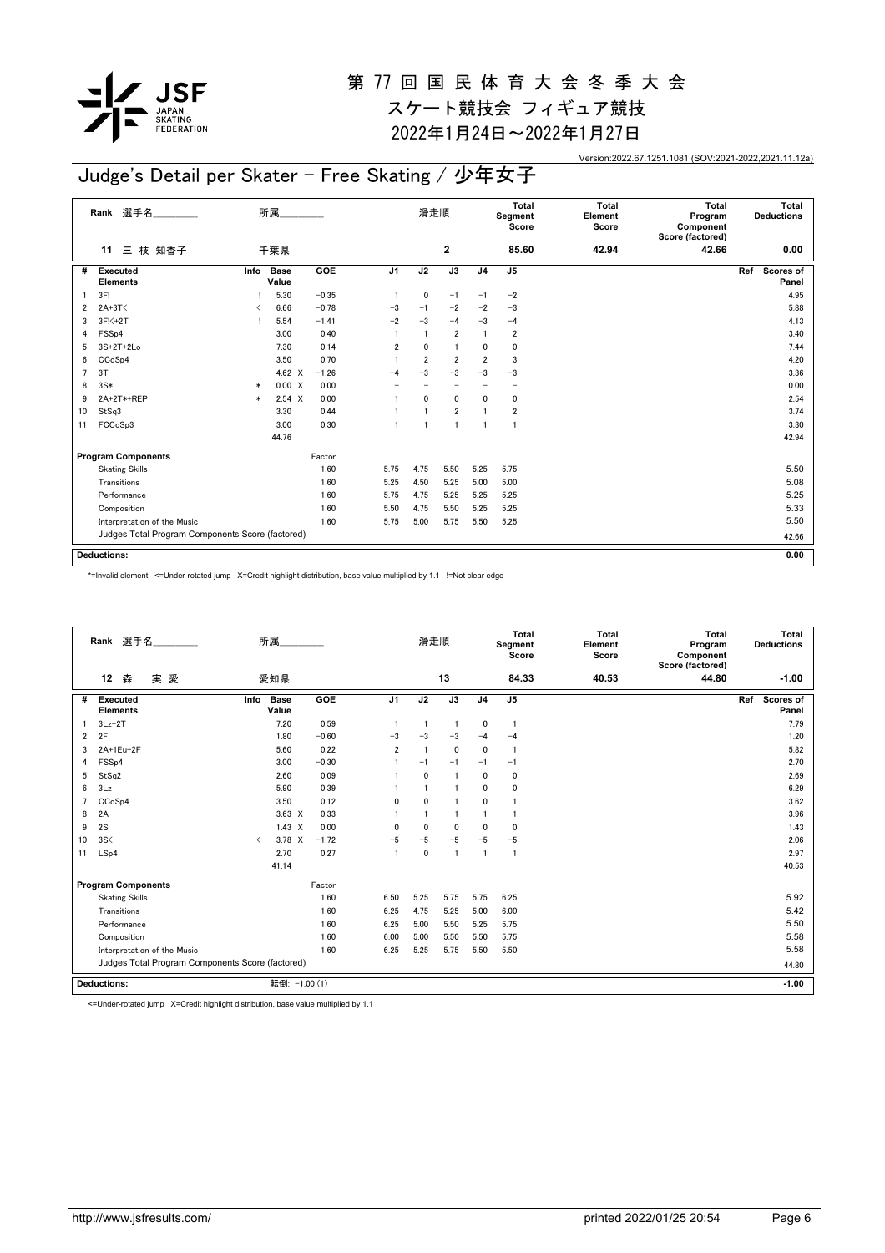

2022年1月24日~2022年1月27日

Version:2022.67.1251.1081 (SOV:2021-2022,2021.11.12a)

## Judge's Detail per Skater - Free Skating / 少年女子

|    | 選手名<br>Rank                                      |        | 所属                   |         |                | 滑走順            |                          |                         | Total<br>Segment<br>Score | <b>Total</b><br>Element<br>Score | <b>Total</b><br>Program<br>Component<br>Score (factored) | Total<br><b>Deductions</b> |
|----|--------------------------------------------------|--------|----------------------|---------|----------------|----------------|--------------------------|-------------------------|---------------------------|----------------------------------|----------------------------------------------------------|----------------------------|
|    | 三 枝 知香子<br>11                                    |        | 千葉県                  |         |                |                | $\overline{\mathbf{2}}$  |                         | 85.60                     | 42.94                            | 42.66                                                    | 0.00                       |
| #  | <b>Executed</b><br><b>Elements</b>               | Info   | <b>Base</b><br>Value | GOE     | J <sub>1</sub> | J2             | $\overline{J3}$          | J <sub>4</sub>          | J <sub>5</sub>            |                                  |                                                          | Ref<br>Scores of<br>Panel  |
|    | 3F!                                              |        | 5.30                 | $-0.35$ | $\overline{1}$ | 0              | $-1$                     | $-1$                    | $-2$                      |                                  |                                                          | 4.95                       |
| 2  | $2A+3T<$                                         | ≺      | 6.66                 | $-0.78$ | $-3$           | $-1$           | $-2$                     | $-2$                    | $-3$                      |                                  |                                                          | 5.88                       |
| 3  | $3F5+2T$                                         |        | 5.54                 | $-1.41$ | $-2$           | $-3$           | $-4$                     | $-3$                    | $-4$                      |                                  |                                                          | 4.13                       |
| 4  | FSS <sub>p4</sub>                                |        | 3.00                 | 0.40    |                | $\mathbf{1}$   | $\overline{2}$           | 1                       | $\overline{2}$            |                                  |                                                          | 3.40                       |
| 5  | $3S+2T+2Lo$                                      |        | 7.30                 | 0.14    | $\overline{2}$ | $\mathbf{0}$   | $\mathbf{1}$             | 0                       | 0                         |                                  |                                                          | 7.44                       |
| 6  | CCoSp4                                           |        | 3.50                 | 0.70    |                | $\overline{2}$ | $\overline{2}$           | $\overline{\mathbf{2}}$ | 3                         |                                  |                                                          | 4.20                       |
| 7  | 3T                                               |        | 4.62 $\times$        | $-1.26$ | $-4$           | $-3$           | $-3$                     | $-3$                    | $-3$                      |                                  |                                                          | 3.36                       |
| 8  | $3S*$                                            | $\ast$ | 0.00 X               | 0.00    |                |                | $\overline{\phantom{0}}$ |                         | $\overline{\phantom{0}}$  |                                  |                                                          | 0.00                       |
| 9  | 2A+2T*+REP                                       | $\ast$ | $2.54 \times$        | 0.00    |                | $\mathbf{0}$   | $\mathbf 0$              | 0                       | 0                         |                                  |                                                          | 2.54                       |
| 10 | StSq3                                            |        | 3.30                 | 0.44    |                | $\mathbf{1}$   | $\overline{2}$           |                         | 2                         |                                  |                                                          | 3.74                       |
| 11 | FCCoSp3                                          |        | 3.00                 | 0.30    | $\mathbf{1}$   | $\mathbf{1}$   | $\overline{1}$           | $\mathbf{1}$            | -1                        |                                  |                                                          | 3.30                       |
|    |                                                  |        | 44.76                |         |                |                |                          |                         |                           |                                  |                                                          | 42.94                      |
|    | <b>Program Components</b>                        |        |                      | Factor  |                |                |                          |                         |                           |                                  |                                                          |                            |
|    | <b>Skating Skills</b>                            |        |                      | 1.60    | 5.75           | 4.75           | 5.50                     | 5.25                    | 5.75                      |                                  |                                                          | 5.50                       |
|    | Transitions                                      |        |                      | 1.60    | 5.25           | 4.50           | 5.25                     | 5.00                    | 5.00                      |                                  |                                                          | 5.08                       |
|    | Performance                                      |        |                      | 1.60    | 5.75           | 4.75           | 5.25                     | 5.25                    | 5.25                      |                                  |                                                          | 5.25                       |
|    | Composition                                      |        |                      | 1.60    | 5.50           | 4.75           | 5.50                     | 5.25                    | 5.25                      |                                  |                                                          | 5.33                       |
|    | Interpretation of the Music                      |        |                      | 1.60    | 5.75           | 5.00           | 5.75                     | 5.50                    | 5.25                      |                                  |                                                          | 5.50                       |
|    | Judges Total Program Components Score (factored) |        |                      |         |                |                |                          |                         |                           |                                  |                                                          | 42.66                      |
|    |                                                  |        |                      |         |                |                |                          |                         |                           |                                  |                                                          |                            |
|    | <b>Deductions:</b>                               |        |                      |         |                |                |                          |                         |                           |                                  |                                                          | 0.00                       |

\*=Invalid element <=Under-rotated jump X=Credit highlight distribution, base value multiplied by 1.1 !=Not clear edge

|    | Rank 選手名                           |                             |                                                  | 所属                   |         |                | 滑走順                     |                |                | Total<br>Segment<br>Score | Total<br>Element<br>Score | Total<br>Program<br>Component<br>Score (factored) |     | Total<br><b>Deductions</b> |
|----|------------------------------------|-----------------------------|--------------------------------------------------|----------------------|---------|----------------|-------------------------|----------------|----------------|---------------------------|---------------------------|---------------------------------------------------|-----|----------------------------|
|    | 12<br>森                            | 実愛                          |                                                  | 愛知県                  |         |                |                         | 13             |                | 84.33                     | 40.53                     | 44.80                                             |     | $-1.00$                    |
| #  | <b>Executed</b><br><b>Elements</b> |                             | Info                                             | <b>Base</b><br>Value | GOE     | J <sub>1</sub> | J2                      | J3             | J <sub>4</sub> | J <sub>5</sub>            |                           |                                                   | Ref | <b>Scores of</b><br>Panel  |
|    | $3Lz + 2T$                         |                             |                                                  | 7.20                 | 0.59    | $\overline{1}$ | $\overline{1}$          | $\overline{1}$ | 0              | -1                        |                           |                                                   |     | 7.79                       |
| 2  | 2F                                 |                             |                                                  | 1.80                 | $-0.60$ | $-3$           | $-3$                    | $-3$           | $-4$           | $-4$                      |                           |                                                   |     | 1.20                       |
| 3  | 2A+1Eu+2F                          |                             |                                                  | 5.60                 | 0.22    | $\overline{2}$ | $\overline{\mathbf{1}}$ | $\mathbf 0$    | $\mathbf{0}$   |                           |                           |                                                   |     | 5.82                       |
| 4  | FSS <sub>p4</sub>                  |                             |                                                  | 3.00                 | $-0.30$ |                | $-1$                    | $-1$           | $-1$           | $-1$                      |                           |                                                   |     | 2.70                       |
| 5  | StSq2                              |                             |                                                  | 2.60                 | 0.09    |                | $\mathbf{0}$            | -1             | $\mathbf{0}$   | 0                         |                           |                                                   |     | 2.69                       |
| 6  | 3Lz                                |                             |                                                  | 5.90                 | 0.39    |                | $\overline{\mathbf{1}}$ | -1             | $\mathbf{0}$   | $\mathbf{0}$              |                           |                                                   |     | 6.29                       |
| 7  | CCoSp4                             |                             |                                                  | 3.50                 | 0.12    | $\mathbf{0}$   | $\mathbf{0}$            | -1             | $\mathbf{0}$   |                           |                           |                                                   |     | 3.62                       |
| 8  | 2A                                 |                             |                                                  | $3.63 \times$        | 0.33    |                | -1                      |                |                |                           |                           |                                                   |     | 3.96                       |
| 9  | 2S                                 |                             |                                                  | $1.43 \times$        | 0.00    | $\Omega$       | $\mathbf 0$             | $\mathbf{0}$   | $\Omega$       | 0                         |                           |                                                   |     | 1.43                       |
| 10 | 3S<                                |                             | $\overline{\left( \right. }%$                    | $3.78 \times$        | $-1.72$ | $-5$           | $-5$                    | $-5$           | $-5$           | $-5$                      |                           |                                                   |     | 2.06                       |
| 11 | LSp4                               |                             |                                                  | 2.70                 | 0.27    | $\overline{1}$ | $\mathbf 0$             | $\overline{1}$ | $\overline{1}$ | -1                        |                           |                                                   |     | 2.97                       |
|    |                                    |                             |                                                  | 41.14                |         |                |                         |                |                |                           |                           |                                                   |     | 40.53                      |
|    | <b>Program Components</b>          |                             |                                                  |                      | Factor  |                |                         |                |                |                           |                           |                                                   |     |                            |
|    | <b>Skating Skills</b>              |                             |                                                  |                      | 1.60    | 6.50           | 5.25                    | 5.75           | 5.75           | 6.25                      |                           |                                                   |     | 5.92                       |
|    | Transitions                        |                             |                                                  |                      | 1.60    | 6.25           | 4.75                    | 5.25           | 5.00           | 6.00                      |                           |                                                   |     | 5.42                       |
|    | Performance                        |                             |                                                  |                      | 1.60    | 6.25           | 5.00                    | 5.50           | 5.25           | 5.75                      |                           |                                                   |     | 5.50                       |
|    | Composition                        |                             |                                                  |                      | 1.60    | 6.00           | 5.00                    | 5.50           | 5.50           | 5.75                      |                           |                                                   |     | 5.58                       |
|    |                                    | Interpretation of the Music |                                                  |                      | 1.60    | 6.25           | 5.25                    | 5.75           | 5.50           | 5.50                      |                           |                                                   |     | 5.58                       |
|    |                                    |                             | Judges Total Program Components Score (factored) |                      |         |                |                         |                |                |                           |                           |                                                   |     | 44.80                      |
|    | Deductions:                        |                             |                                                  | 転倒: -1.00 (1)        |         |                |                         |                |                |                           |                           |                                                   |     | $-1.00$                    |

<=Under-rotated jump X=Credit highlight distribution, base value multiplied by 1.1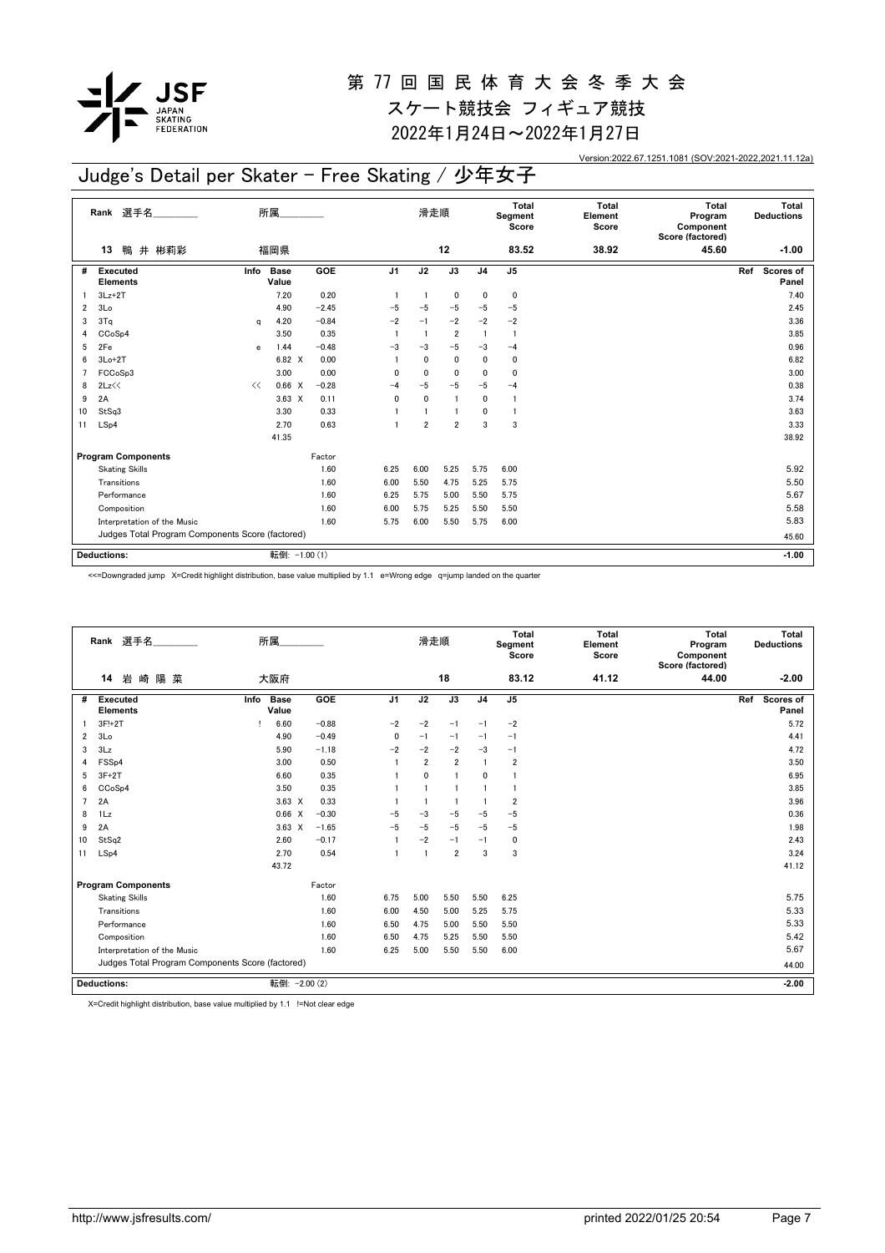

2022年1月24日~2022年1月27日

Version:2022.67.1251.1081 (SOV:2021-2022,2021.11.12a)

## Judge's Detail per Skater - Free Skating / 少年女子

|                | 選手名<br>Rank                                      |      | 所属                   |            |                | 滑走順            |                |                | Total<br>Segment<br>Score | <b>Total</b><br>Element<br>Score | <b>Total</b><br>Program<br>Component<br>Score (factored) | Total<br><b>Deductions</b> |
|----------------|--------------------------------------------------|------|----------------------|------------|----------------|----------------|----------------|----------------|---------------------------|----------------------------------|----------------------------------------------------------|----------------------------|
|                | 鴨 井 彬莉彩<br>13                                    |      | 福岡県                  |            |                |                | 12             |                | 83.52                     | 38.92                            | 45.60                                                    | $-1.00$                    |
| #              | <b>Executed</b><br><b>Elements</b>               | Info | <b>Base</b><br>Value | <b>GOE</b> | J <sub>1</sub> | J2             | J3             | J <sub>4</sub> | J <sub>5</sub>            |                                  |                                                          | Ref<br>Scores of<br>Panel  |
|                | $3Lz + 2T$                                       |      | 7.20                 | 0.20       |                |                | $\mathbf 0$    | 0              | 0                         |                                  |                                                          | 7.40                       |
| $\overline{2}$ | 3Lo                                              |      | 4.90                 | $-2.45$    | $-5$           | $-5$           | $-5$           | $-5$           | $-5$                      |                                  |                                                          | 2.45                       |
| 3              | 3Tq                                              | a    | 4.20                 | $-0.84$    | $-2$           | $-1$           | $-2$           | $-2$           | $-2$                      |                                  |                                                          | 3.36                       |
| 4              | CCoSp4                                           |      | 3.50                 | 0.35       |                | $\overline{1}$ | $\overline{2}$ | $\mathbf{1}$   | $\mathbf{1}$              |                                  |                                                          | 3.85                       |
| 5              | 2Fe                                              | e    | 1.44                 | $-0.48$    | $-3$           | $-3$           | $-5$           | $-3$           | $-4$                      |                                  |                                                          | 0.96                       |
| 6              | $3Lo+2T$                                         |      | 6.82 X               | 0.00       |                | 0              | $\mathbf 0$    | 0              | 0                         |                                  |                                                          | 6.82                       |
| 7              | FCCoSp3                                          |      | 3.00                 | 0.00       | 0              | $\mathbf 0$    | $\mathbf{0}$   | $\mathbf{0}$   | $\mathbf 0$               |                                  |                                                          | 3.00                       |
| 8              | 2Lz                                              | <<   | 0.66 X               | $-0.28$    | $-4$           | -5             | $-5$           | $-5$           | $-4$                      |                                  |                                                          | 0.38                       |
| 9              | 2A                                               |      | $3.63 \times$        | 0.11       | $\mathbf 0$    | $\mathbf 0$    | $\overline{1}$ | $\mathbf{0}$   | -1                        |                                  |                                                          | 3.74                       |
| 10             | StSq3                                            |      | 3.30                 | 0.33       |                | $\mathbf{1}$   | $\overline{1}$ | 0              | 1                         |                                  |                                                          | 3.63                       |
| 11             | LSp4                                             |      | 2.70                 | 0.63       |                | $\overline{2}$ | $\overline{2}$ | 3              | 3                         |                                  |                                                          | 3.33                       |
|                |                                                  |      | 41.35                |            |                |                |                |                |                           |                                  |                                                          | 38.92                      |
|                | <b>Program Components</b>                        |      |                      | Factor     |                |                |                |                |                           |                                  |                                                          |                            |
|                | <b>Skating Skills</b>                            |      |                      | 1.60       | 6.25           | 6.00           | 5.25           | 5.75           | 6.00                      |                                  |                                                          | 5.92                       |
|                | Transitions                                      |      |                      | 1.60       | 6.00           | 5.50           | 4.75           | 5.25           | 5.75                      |                                  |                                                          | 5.50                       |
|                | Performance                                      |      |                      | 1.60       | 6.25           | 5.75           | 5.00           | 5.50           | 5.75                      |                                  |                                                          | 5.67                       |
|                | Composition                                      |      |                      | 1.60       | 6.00           | 5.75           | 5.25           | 5.50           | 5.50                      |                                  |                                                          | 5.58                       |
|                | Interpretation of the Music                      |      |                      | 1.60       | 5.75           | 6.00           | 5.50           | 5.75           | 6.00                      |                                  |                                                          | 5.83                       |
|                | Judges Total Program Components Score (factored) |      |                      |            |                |                |                |                |                           |                                  | 45.60                                                    |                            |
|                |                                                  |      |                      |            |                |                |                |                |                           |                                  |                                                          |                            |
|                | <b>Deductions:</b>                               |      | 転倒: -1.00 (1)        |            |                |                |                |                |                           |                                  |                                                          | $-1.00$                    |

<<=Downgraded jump X=Credit highlight distribution, base value multiplied by 1.1 e=Wrong edge q=jump landed on the quarter

|                | Rank 選手名                                         |      | 所属                   |         |                | 滑走順            |                |                | Total<br>Segment<br>Score | <b>Total</b><br>Element<br>Score | Total<br>Program<br>Component<br>Score (factored) |     | Total<br><b>Deductions</b> |
|----------------|--------------------------------------------------|------|----------------------|---------|----------------|----------------|----------------|----------------|---------------------------|----------------------------------|---------------------------------------------------|-----|----------------------------|
|                | 岩崎陽菜<br>14                                       |      | 大阪府                  |         |                |                | 18             |                | 83.12                     | 41.12                            | 44.00                                             |     | $-2.00$                    |
| #              | <b>Executed</b><br><b>Elements</b>               | Info | <b>Base</b><br>Value | GOE     | J <sub>1</sub> | J2             | J3             | J <sub>4</sub> | J <sub>5</sub>            |                                  |                                                   | Ref | Scores of<br>Panel         |
|                | 3F!+2T                                           |      | 6.60                 | $-0.88$ | $-2$           | $-2$           | $-1$           | $-1$           | $-2$                      |                                  |                                                   |     | 5.72                       |
| $\overline{2}$ | 3 <sub>Lo</sub>                                  |      | 4.90                 | $-0.49$ | 0              | $-1$           | $-1$           | $-1$           | $-1$                      |                                  |                                                   |     | 4.41                       |
| 3              | 3Lz                                              |      | 5.90                 | $-1.18$ | $-2$           | $-2$           | $-2$           | $-3$           | $-1$                      |                                  |                                                   |     | 4.72                       |
|                | FSS <sub>p4</sub>                                |      | 3.00                 | 0.50    |                | $\overline{2}$ | $\overline{2}$ | $\mathbf{1}$   | $\overline{2}$            |                                  |                                                   |     | 3.50                       |
| 5              | $3F+2T$                                          |      | 6.60                 | 0.35    |                | 0              | 1              | 0              |                           |                                  |                                                   |     | 6.95                       |
| 6              | CC <sub>o</sub> S <sub>p4</sub>                  |      | 3.50                 | 0.35    |                |                |                |                | $\mathbf{1}$              |                                  |                                                   |     | 3.85                       |
|                | 2A                                               |      | $3.63 \times$        | 0.33    |                |                | -1             |                | $\overline{2}$            |                                  |                                                   |     | 3.96                       |
| 8              | 1Lz                                              |      | 0.66 X               | $-0.30$ | $-5$           | $-3$           | $-5$           | $-5$           | $-5$                      |                                  |                                                   |     | 0.36                       |
| 9              | 2A                                               |      | $3.63 \times$        | $-1.65$ | $-5$           | $-5$           | $-5$           | $-5$           | $-5$                      |                                  |                                                   |     | 1.98                       |
| 10             | StSq2                                            |      | 2.60                 | $-0.17$ |                | $-2$           | $-1$           | $-1$           | $\mathbf 0$               |                                  |                                                   |     | 2.43                       |
| 11             | LSp4                                             |      | 2.70                 | 0.54    |                |                | $\overline{2}$ | 3              | 3                         |                                  |                                                   |     | 3.24                       |
|                |                                                  |      | 43.72                |         |                |                |                |                |                           |                                  |                                                   |     | 41.12                      |
|                | <b>Program Components</b>                        |      |                      | Factor  |                |                |                |                |                           |                                  |                                                   |     |                            |
|                | <b>Skating Skills</b>                            |      |                      | 1.60    | 6.75           | 5.00           | 5.50           | 5.50           | 6.25                      |                                  |                                                   |     | 5.75                       |
|                | Transitions                                      |      |                      | 1.60    | 6.00           | 4.50           | 5.00           | 5.25           | 5.75                      |                                  |                                                   |     | 5.33                       |
|                | Performance                                      |      |                      | 1.60    | 6.50           | 4.75           | 5.00           | 5.50           | 5.50                      |                                  |                                                   |     | 5.33                       |
|                | Composition                                      |      |                      | 1.60    | 6.50           | 4.75           | 5.25           | 5.50           | 5.50                      |                                  |                                                   |     | 5.42                       |
|                | Interpretation of the Music                      |      |                      | 1.60    | 6.25           | 5.00           | 5.50           | 5.50           | 6.00                      |                                  |                                                   |     | 5.67                       |
|                | Judges Total Program Components Score (factored) |      |                      |         |                |                |                |                |                           |                                  |                                                   |     | 44.00                      |
|                | <b>Deductions:</b>                               |      | 転倒: - 2.00 (2)       |         |                |                |                |                |                           |                                  |                                                   |     | $-2.00$                    |

X=Credit highlight distribution, base value multiplied by 1.1 !=Not clear edge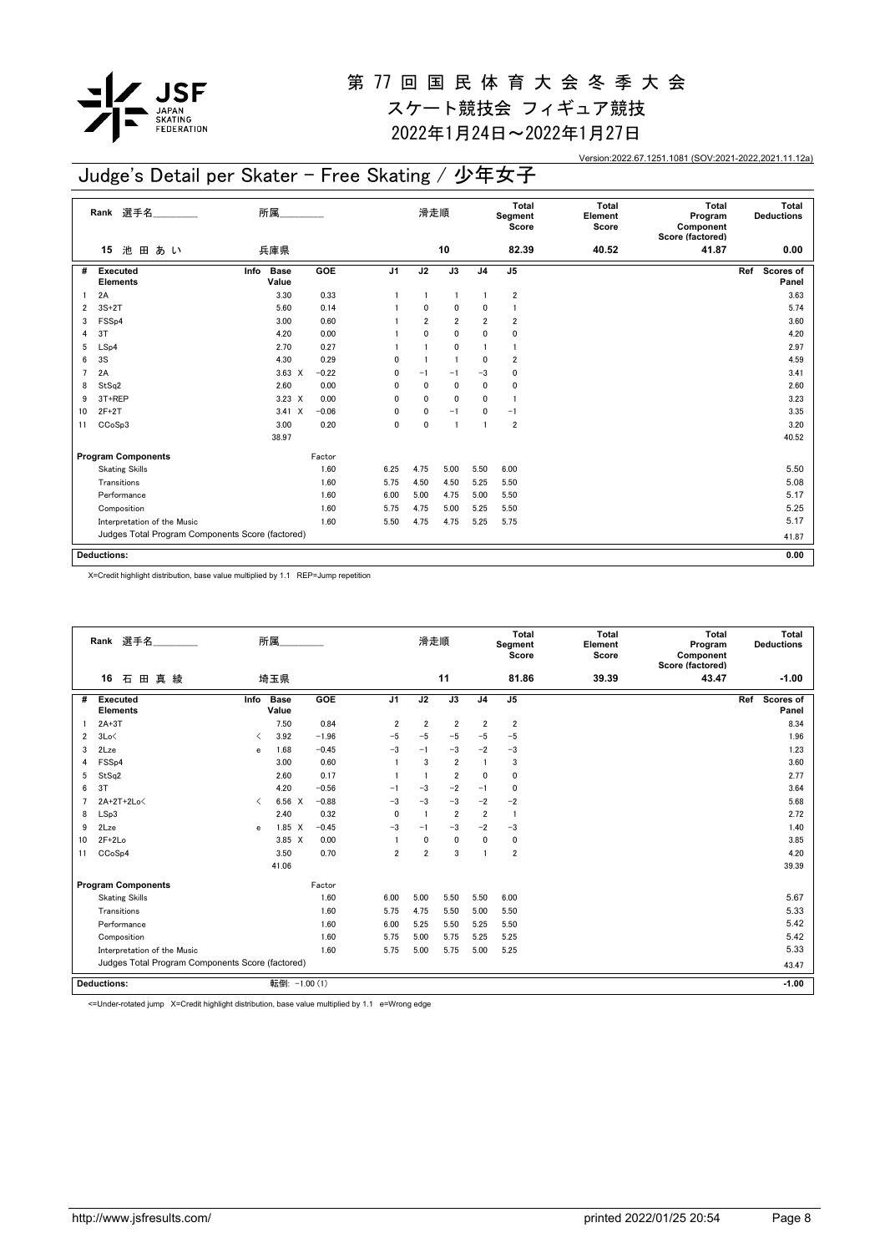

2022年1月24日~2022年1月27日

Version:2022.67.1251.1081 (SOV:2021-2022,2021.11.12a)

## Judge's Detail per Skater - Free Skating / 少年女子

|    | Rank 選手名                                         | 所属.                          |            |                | 滑走順            |                 |                | Total<br>Segment<br>Score | <b>Total</b><br>Element<br>Score | <b>Total</b><br>Program<br>Component<br>Score (factored) | Total<br><b>Deductions</b> |
|----|--------------------------------------------------|------------------------------|------------|----------------|----------------|-----------------|----------------|---------------------------|----------------------------------|----------------------------------------------------------|----------------------------|
|    | 池<br>田あい<br>15                                   | 兵庫県                          |            |                |                | 10              |                | 82.39                     | 40.52                            | 41.87                                                    | 0.00                       |
| #  | Executed<br><b>Elements</b>                      | Info<br><b>Base</b><br>Value | <b>GOE</b> | J <sub>1</sub> | J2             | $\overline{J3}$ | J <sub>4</sub> | J <sub>5</sub>            |                                  |                                                          | Scores of<br>Ref<br>Panel  |
|    | 2A                                               | 3.30                         | 0.33       |                | $\overline{1}$ | $\mathbf{1}$    | $\overline{1}$ | $\overline{\mathbf{2}}$   |                                  |                                                          | 3.63                       |
| 2  | $3S+2T$                                          | 5.60                         | 0.14       |                | $\mathbf{0}$   | $\mathbf 0$     | 0              | 1                         |                                  |                                                          | 5.74                       |
| 3  | FSS <sub>p4</sub>                                | 3.00                         | 0.60       |                | $\overline{2}$ | $\overline{2}$  | 2              | $\overline{\mathbf{2}}$   |                                  |                                                          | 3.60                       |
| 4  | 3T                                               | 4.20                         | 0.00       |                | $\mathbf{0}$   | 0               | $\mathbf 0$    | 0                         |                                  |                                                          | 4.20                       |
| 5  | LSp4                                             | 2.70                         | 0.27       |                | $\mathbf{1}$   | $\mathbf 0$     | -1             | $\mathbf{1}$              |                                  |                                                          | 2.97                       |
| 6  | 3S                                               | 4.30                         | 0.29       | 0              | $\overline{1}$ | $\overline{1}$  | 0              | $\overline{\mathbf{2}}$   |                                  |                                                          | 4.59                       |
| 7  | 2A                                               | $3.63 \times$                | $-0.22$    | 0              | $-1$           | $-1$            | $-3$           | 0                         |                                  |                                                          | 3.41                       |
| 8  | StSq2                                            | 2.60                         | 0.00       | 0              | $\mathbf 0$    | $\mathbf 0$     | 0              | 0                         |                                  |                                                          | 2.60                       |
| 9  | 3T+REP                                           | $3.23 \times$                | 0.00       | $\mathbf 0$    | $\mathbf{0}$   | $\mathbf 0$     | $\mathbf{0}$   |                           |                                  |                                                          | 3.23                       |
| 10 | $2F+2T$                                          | $3.41 \times$                | $-0.06$    | 0              | $\mathbf{0}$   | $-1$            | 0              | $-1$                      |                                  |                                                          | 3.35                       |
| 11 | CCoSp3                                           | 3.00                         | 0.20       | $\mathbf 0$    | $\mathbf 0$    | $\overline{1}$  | $\overline{1}$ | $\overline{\mathbf{2}}$   |                                  |                                                          | 3.20                       |
|    |                                                  | 38.97                        |            |                |                |                 |                |                           |                                  |                                                          | 40.52                      |
|    | <b>Program Components</b>                        |                              | Factor     |                |                |                 |                |                           |                                  |                                                          |                            |
|    | <b>Skating Skills</b>                            |                              | 1.60       | 6.25           | 4.75           | 5.00            | 5.50           | 6.00                      |                                  |                                                          | 5.50                       |
|    | Transitions                                      |                              | 1.60       | 5.75           | 4.50           | 4.50            | 5.25           | 5.50                      |                                  |                                                          | 5.08                       |
|    | Performance                                      |                              | 1.60       | 6.00           | 5.00           | 4.75            | 5.00           | 5.50                      |                                  |                                                          | 5.17                       |
|    | Composition                                      |                              | 1.60       | 5.75           | 4.75           | 5.00            | 5.25           | 5.50                      |                                  |                                                          | 5.25                       |
|    | Interpretation of the Music                      |                              | 1.60       | 5.50           | 4.75           | 4.75            | 5.25           | 5.75                      |                                  |                                                          | 5.17                       |
|    | Judges Total Program Components Score (factored) |                              |            |                |                |                 |                |                           |                                  |                                                          | 41.87                      |
|    |                                                  |                              |            |                |                |                 |                |                           |                                  |                                                          |                            |
|    | <b>Deductions:</b>                               |                              |            |                |                |                 |                |                           |                                  |                                                          | 0.00                       |

X=Credit highlight distribution, base value multiplied by 1.1 REP=Jump repetition

|                | Rank 選手名                                         |                               | 所属                   |         |                | 滑走順            |                |                | <b>Total</b><br>Segment<br>Score | <b>Total</b><br>Element<br>Score | Total<br>Program<br>Component<br>Score (factored) | Total<br><b>Deductions</b> |  |
|----------------|--------------------------------------------------|-------------------------------|----------------------|---------|----------------|----------------|----------------|----------------|----------------------------------|----------------------------------|---------------------------------------------------|----------------------------|--|
|                | 16<br>石<br>田<br>真<br>綾                           |                               | 埼玉県                  |         |                |                | 11             |                | 81.86                            | 39.39                            | 43.47                                             | $-1.00$                    |  |
| #              | <b>Executed</b><br><b>Elements</b>               | Info                          | <b>Base</b><br>Value | GOE     | J <sub>1</sub> | J2             | J3             | J <sub>4</sub> | J <sub>5</sub>                   |                                  |                                                   | Ref<br>Scores of<br>Panel  |  |
|                | $2A+3T$                                          |                               | 7.50                 | 0.84    | 2              | 2              | $\overline{2}$ | $\overline{2}$ | $\overline{\mathbf{2}}$          |                                  |                                                   | 8.34                       |  |
| $\overline{2}$ | 3Lo<                                             | $\overline{\phantom{a}}$      | 3.92                 | $-1.96$ | $-5$           | $-5$           | $-5$           | $-5$           | $-5$                             |                                  |                                                   | 1.96                       |  |
| 3              | 2Lze                                             | e                             | 1.68                 | $-0.45$ | $-3$           | $-1$           | $-3$           | $-2$           | $-3$                             |                                  |                                                   | 1.23                       |  |
| 4              | FSS <sub>p4</sub>                                |                               | 3.00                 | 0.60    |                | 3              | $\overline{2}$ | $\mathbf{1}$   | 3                                |                                  |                                                   | 3.60                       |  |
| 5              | StSq2                                            |                               | 2.60                 | 0.17    |                | $\overline{1}$ | $\overline{2}$ | $\mathbf{0}$   | 0                                |                                  |                                                   | 2.77                       |  |
| 6              | 3T                                               |                               | 4.20                 | $-0.56$ | $-1$           | $-3$           | $-2$           | $-1$           | $\mathbf{0}$                     |                                  |                                                   | 3.64                       |  |
| 7              | 2A+2T+2Lo<                                       | $\overline{\left( \right. }%$ | 6.56 X               | $-0.88$ | $-3$           | $-3$           | $-3$           | $-2$           | $-2$                             |                                  |                                                   | 5.68                       |  |
| 8              | LSp3                                             |                               | 2.40                 | 0.32    | $\Omega$       | $\overline{1}$ | $\overline{2}$ | $\overline{2}$ | -1                               |                                  |                                                   | 2.72                       |  |
| 9              | 2Lze                                             | e                             | 1.85<br>X            | $-0.45$ | $-3$           | $-1$           | $-3$           | $-2$           | $-3$                             |                                  |                                                   | 1.40                       |  |
| 10             | $2F+2Lo$                                         |                               | 3.85 X               | 0.00    |                | 0              | $\mathbf 0$    | $\mathbf 0$    | 0                                |                                  |                                                   | 3.85                       |  |
| 11             | CCoSp4                                           |                               | 3.50                 | 0.70    | $\overline{2}$ | $\overline{2}$ | 3              | $\mathbf{1}$   | $\overline{2}$                   |                                  |                                                   | 4.20                       |  |
|                |                                                  |                               | 41.06                |         |                |                |                |                |                                  |                                  |                                                   | 39.39                      |  |
|                | <b>Program Components</b>                        |                               |                      | Factor  |                |                |                |                |                                  |                                  |                                                   |                            |  |
|                | <b>Skating Skills</b>                            |                               |                      | 1.60    | 6.00           | 5.00           | 5.50           | 5.50           | 6.00                             |                                  |                                                   | 5.67                       |  |
|                | Transitions                                      |                               |                      | 1.60    | 5.75           | 4.75           | 5.50           | 5.00           | 5.50                             |                                  |                                                   | 5.33                       |  |
|                | Performance                                      |                               |                      | 1.60    | 6.00           | 5.25           | 5.50           | 5.25           | 5.50                             |                                  |                                                   | 5.42                       |  |
|                | Composition                                      |                               |                      | 1.60    | 5.75           | 5.00           | 5.75           | 5.25           | 5.25                             |                                  |                                                   | 5.42                       |  |
|                | Interpretation of the Music                      |                               |                      | 1.60    | 5.75           | 5.00           | 5.75           | 5.00           | 5.25                             |                                  |                                                   | 5.33                       |  |
|                | Judges Total Program Components Score (factored) |                               |                      |         |                |                |                |                |                                  |                                  |                                                   | 43.47                      |  |
|                | <b>Deductions:</b>                               |                               | 転倒: -1.00 (1)        |         |                |                |                |                |                                  |                                  |                                                   | $-1.00$                    |  |

<=Under-rotated jump X=Credit highlight distribution, base value multiplied by 1.1 e=Wrong edge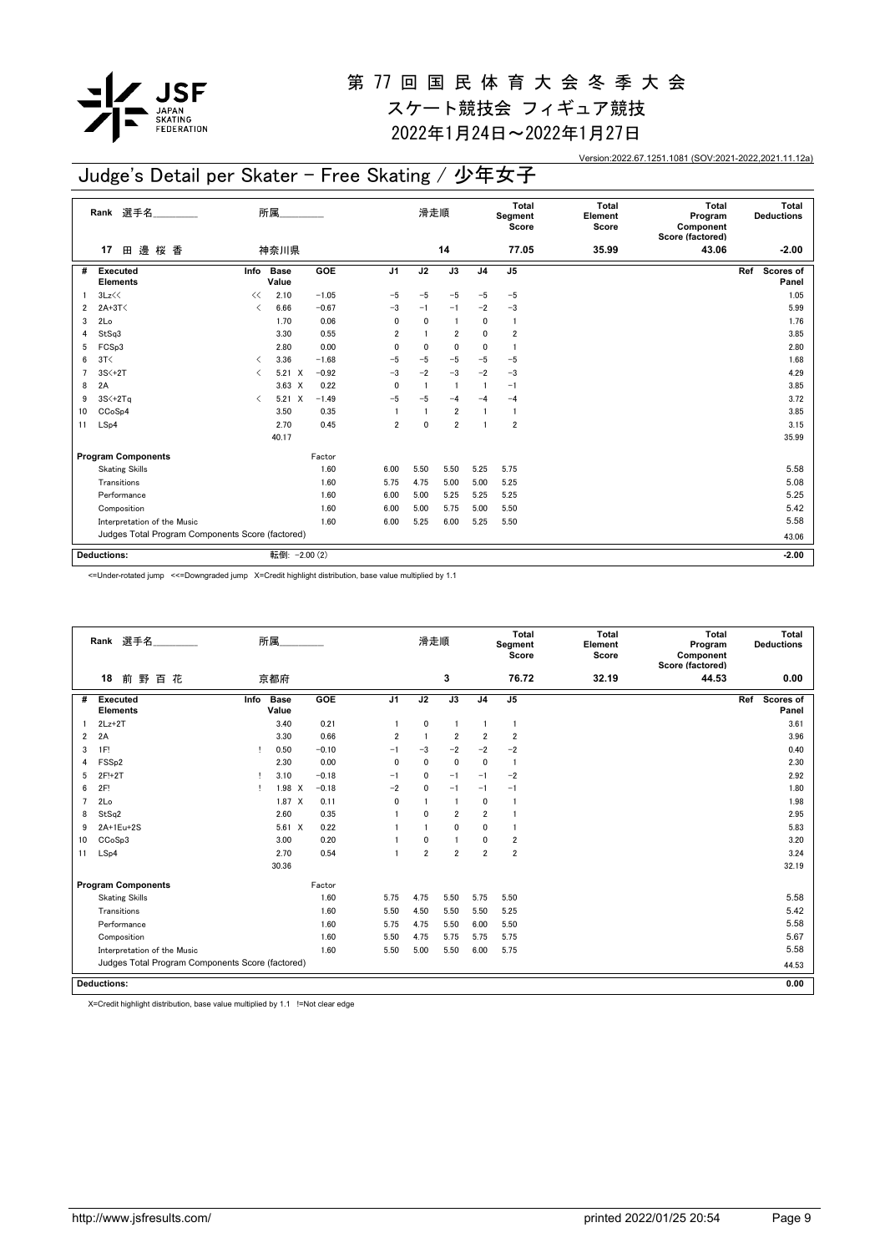

2022年1月24日~2022年1月27日

Version:2022.67.1251.1081 (SOV:2021-2022,2021.11.12a)

## Judge's Detail per Skater - Free Skating / 少年女子

|    | Rank 選手名                                         |                                          | 所属                   |         |                | 滑走順          |                 |                | Total<br>Segment<br>Score | <b>Total</b><br>Element<br>Score | <b>Total</b><br>Program<br>Component<br>Score (factored) | Total<br><b>Deductions</b> |
|----|--------------------------------------------------|------------------------------------------|----------------------|---------|----------------|--------------|-----------------|----------------|---------------------------|----------------------------------|----------------------------------------------------------|----------------------------|
|    | 田邊桜香<br>17                                       |                                          | 神奈川県                 |         |                |              | 14              |                | 77.05                     | 35.99                            | 43.06                                                    | $-2.00$                    |
| #  | Executed<br>Info<br><b>Elements</b>              |                                          | <b>Base</b><br>Value | GOE     | J <sub>1</sub> | J2           | $\overline{J3}$ | J <sub>4</sub> | J <sub>5</sub>            |                                  |                                                          | Ref<br>Scores of<br>Panel  |
|    | 3Lz<<                                            | <<                                       | 2.10                 | $-1.05$ | $-5$           | $-5$         | $-5$            | $-5$           | $-5$                      |                                  |                                                          | 1.05                       |
| 2  | $2A+3T<$                                         | ✓                                        | 6.66                 | $-0.67$ | $-3$           | $-1$         | $-1$            | $-2$           | $-3$                      |                                  |                                                          | 5.99                       |
| 3  | 2Lo                                              |                                          | 1.70                 | 0.06    | 0              | $\mathbf{0}$ | $\mathbf{1}$    | 0              | $\overline{1}$            |                                  |                                                          | 1.76                       |
|    | StSq3                                            |                                          | 3.30                 | 0.55    | $\overline{2}$ | $\mathbf{1}$ | $\overline{2}$  | 0              | $\overline{\mathbf{2}}$   |                                  |                                                          | 3.85                       |
| 5  | FCSp3                                            |                                          | 2.80                 | 0.00    | 0              | $\mathbf 0$  | $\mathbf 0$     | $\mathbf 0$    | $\overline{1}$            |                                  |                                                          | 2.80                       |
| 6  | 3T<                                              | $\overline{\left\langle \right\rangle }$ | 3.36                 | $-1.68$ | $-5$           | $-5$         | $-5$            | $-5$           | $-5$                      |                                  |                                                          | 1.68                       |
|    | $3S<+2T$                                         | ≺                                        | $5.21 \t X$          | $-0.92$ | $-3$           | $-2$         | $-3$            | $-2$           | $-3$                      |                                  |                                                          | 4.29                       |
| 8  | 2A                                               |                                          | $3.63 \times$        | 0.22    | $\mathbf{0}$   | $\mathbf{1}$ | $\overline{1}$  | $\mathbf{1}$   | $-1$                      |                                  |                                                          | 3.85                       |
| 9  | $3S<+2Tq$                                        | $\overline{\left\langle \right\rangle }$ | $5.21 \t X$          | $-1.49$ | $-5$           | $-5$         | $-4$            | $-4$           | $-4$                      |                                  |                                                          | 3.72                       |
| 10 | CC <sub>o</sub> S <sub>p4</sub>                  |                                          | 3.50                 | 0.35    |                | $\mathbf{1}$ | $\overline{2}$  | $\mathbf{1}$   | $\mathbf{1}$              |                                  |                                                          | 3.85                       |
| 11 | LSp4                                             |                                          | 2.70                 | 0.45    | $\overline{2}$ | $\Omega$     | $\overline{2}$  | $\mathbf{1}$   | $\overline{\mathbf{2}}$   |                                  |                                                          | 3.15                       |
|    |                                                  |                                          | 40.17                |         |                |              |                 |                |                           |                                  |                                                          | 35.99                      |
|    | <b>Program Components</b>                        |                                          |                      | Factor  |                |              |                 |                |                           |                                  |                                                          |                            |
|    | <b>Skating Skills</b>                            |                                          |                      | 1.60    | 6.00           | 5.50         | 5.50            | 5.25           | 5.75                      |                                  |                                                          | 5.58                       |
|    | Transitions                                      |                                          |                      | 1.60    | 5.75           | 4.75         | 5.00            | 5.00           | 5.25                      |                                  |                                                          | 5.08                       |
|    | Performance                                      |                                          |                      | 1.60    | 6.00           | 5.00         | 5.25            | 5.25           | 5.25                      |                                  |                                                          | 5.25                       |
|    | Composition                                      |                                          |                      | 1.60    | 6.00           | 5.00         | 5.75            | 5.00           | 5.50                      |                                  |                                                          | 5.42                       |
|    | Interpretation of the Music                      |                                          |                      | 1.60    | 6.00           | 5.25         | 6.00            | 5.25           | 5.50                      |                                  |                                                          | 5.58                       |
|    | Judges Total Program Components Score (factored) |                                          |                      |         |                |              |                 |                |                           |                                  |                                                          | 43.06                      |
|    |                                                  |                                          |                      |         |                |              |                 |                |                           |                                  |                                                          |                            |
|    | <b>Deductions:</b>                               |                                          | 転倒: - 2.00 (2)       |         |                |              |                 |                |                           |                                  |                                                          | $-2.00$                    |

<=Under-rotated jump <<=Downgraded jump X=Credit highlight distribution, base value multiplied by 1.1

|    | Rank 選手名                                         |      | 所属                   |         |                | 滑走順            |                |                | Total<br>Segment<br>Score | Total<br>Element<br>Score | Total<br>Program<br>Component<br>Score (factored) | Total<br><b>Deductions</b> |
|----|--------------------------------------------------|------|----------------------|---------|----------------|----------------|----------------|----------------|---------------------------|---------------------------|---------------------------------------------------|----------------------------|
|    | 18<br>前野百花                                       |      | 京都府                  |         |                |                | 3              |                | 76.72                     | 32.19                     | 44.53                                             | 0.00                       |
| #  | <b>Executed</b><br><b>Elements</b>               | Info | <b>Base</b><br>Value | GOE     | J <sub>1</sub> | J2             | J3             | J <sub>4</sub> | J5                        |                           |                                                   | Ref<br>Scores of<br>Panel  |
|    | $2Lz+2T$                                         |      | 3.40                 | 0.21    |                | 0              | -1             |                | -1                        |                           |                                                   | 3.61                       |
| 2  | 2A                                               |      | 3.30                 | 0.66    | 2              |                | $\overline{2}$ | $\overline{2}$ | $\overline{2}$            |                           |                                                   | 3.96                       |
| 3  | 1F!                                              | т.   | 0.50                 | $-0.10$ | $-1$           | $-3$           | $-2$           | $-2$           | $-2$                      |                           |                                                   | 0.40                       |
| 4  | FSS <sub>p2</sub>                                |      | 2.30                 | 0.00    | $\mathbf{0}$   | $\mathbf{0}$   | 0              | 0              | $\overline{1}$            |                           |                                                   | 2.30                       |
| 5  | 2F!+2T                                           | п    | 3.10                 | $-0.18$ | $-1$           | 0              | $-1$           | $-1$           | $-2$                      |                           |                                                   | 2.92                       |
| 6  | 2F!                                              |      | 1.98 X               | $-0.18$ | $-2$           | 0              | $-1$           | $-1$           | $-1$                      |                           |                                                   | 1.80                       |
| 7  | 2Lo                                              |      | 1.87 X               | 0.11    | 0              |                | $\overline{1}$ | 0              | -1                        |                           |                                                   | 1.98                       |
| 8  | StSq2                                            |      | 2.60                 | 0.35    |                | $\mathbf{0}$   | $\overline{2}$ | $\overline{2}$ |                           |                           |                                                   | 2.95                       |
| 9  | 2A+1Eu+2S                                        |      | $5.61 \t X$          | 0.22    |                |                | $\mathbf{0}$   | 0              | $\mathbf{1}$              |                           |                                                   | 5.83                       |
| 10 | CCoSp3                                           |      | 3.00                 | 0.20    |                | 0              | $\blacksquare$ | 0              | $\overline{\mathbf{2}}$   |                           |                                                   | 3.20                       |
| 11 | LSp4                                             |      | 2.70                 | 0.54    |                | $\overline{2}$ | $\overline{2}$ | $\overline{2}$ | $\overline{2}$            |                           |                                                   | 3.24                       |
|    |                                                  |      | 30.36                |         |                |                |                |                |                           |                           |                                                   | 32.19                      |
|    | <b>Program Components</b>                        |      |                      | Factor  |                |                |                |                |                           |                           |                                                   |                            |
|    | <b>Skating Skills</b>                            |      |                      | 1.60    | 5.75           | 4.75           | 5.50           | 5.75           | 5.50                      |                           |                                                   | 5.58                       |
|    | Transitions                                      |      |                      | 1.60    | 5.50           | 4.50           | 5.50           | 5.50           | 5.25                      |                           |                                                   | 5.42                       |
|    | Performance                                      |      |                      | 1.60    | 5.75           | 4.75           | 5.50           | 6.00           | 5.50                      |                           |                                                   | 5.58                       |
|    | Composition                                      |      |                      | 1.60    | 5.50           | 4.75           | 5.75           | 5.75           | 5.75                      |                           |                                                   | 5.67                       |
|    | Interpretation of the Music                      |      |                      | 1.60    | 5.50           | 5.00           | 5.50           | 6.00           | 5.75                      |                           |                                                   | 5.58                       |
|    | Judges Total Program Components Score (factored) |      |                      |         |                |                |                |                |                           |                           |                                                   | 44.53                      |
|    | <b>Deductions:</b>                               |      |                      |         |                |                |                |                |                           |                           |                                                   | 0.00                       |

X=Credit highlight distribution, base value multiplied by 1.1 !=Not clear edge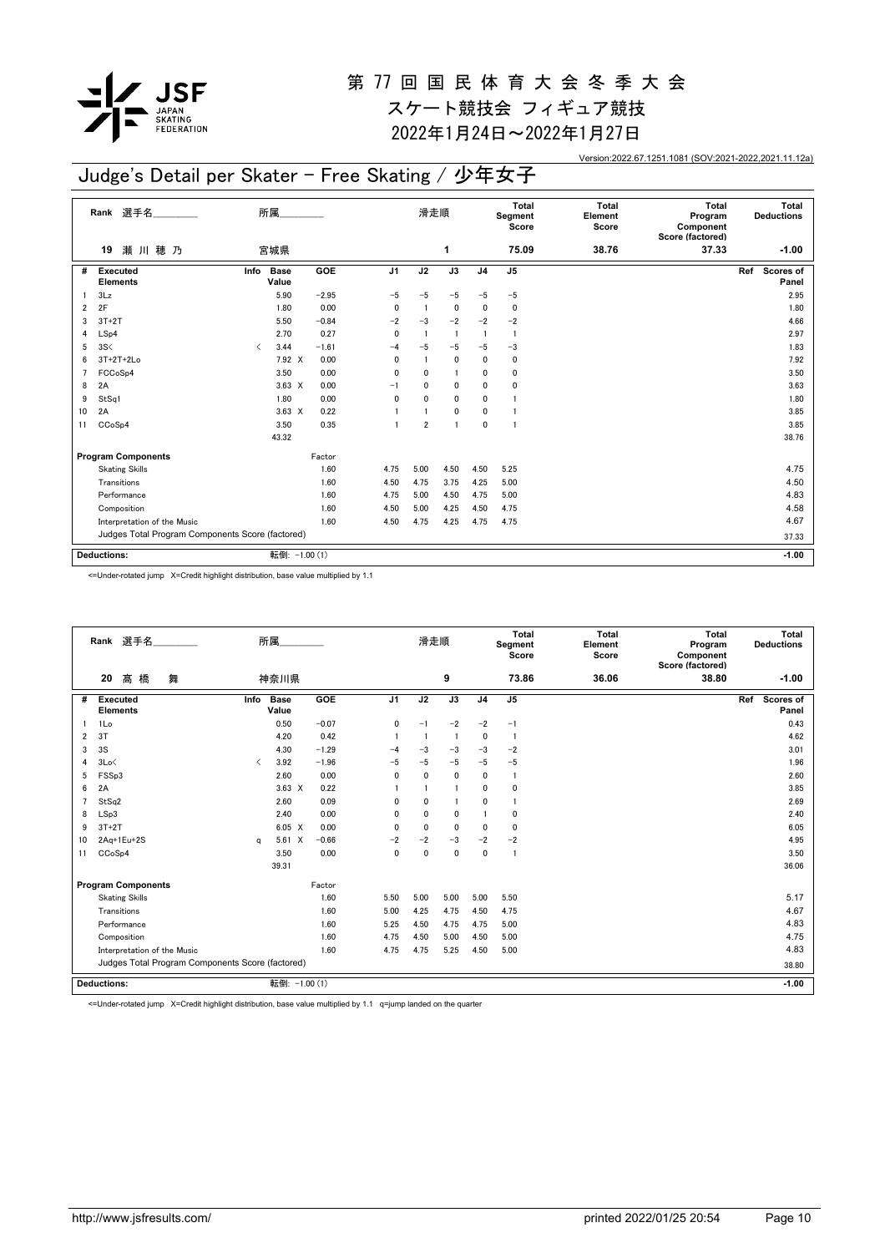

2022年1月24日~2022年1月27日

Version:2022.67.1251.1081 (SOV:2021-2022,2021.11.12a)

# Judge's Detail per Skater - Free Skating / 少年女子

|    | 選手名<br>Rank                                      | 所属                   |               |                | 滑走順            |                 |                | <b>Total</b><br>Segment<br>Score | <b>Total</b><br>Element<br>Score | <b>Total</b><br>Program<br>Component<br>Score (factored) | Total<br><b>Deductions</b> |
|----|--------------------------------------------------|----------------------|---------------|----------------|----------------|-----------------|----------------|----------------------------------|----------------------------------|----------------------------------------------------------|----------------------------|
|    | 瀬川穂乃<br>19                                       | 宮城県                  |               |                |                | 1               |                | 75.09                            | 38.76                            | 37.33                                                    | $-1.00$                    |
| #  | <b>Executed</b><br>Info<br><b>Elements</b>       | <b>Base</b><br>Value | <b>GOE</b>    | J <sub>1</sub> | J2             | $\overline{J3}$ | J <sub>4</sub> | $\overline{J5}$                  |                                  |                                                          | Scores of<br>Ref<br>Panel  |
|    | 3Lz                                              | 5.90                 | $-2.95$       | $-5$           | $-5$           | $-5$            | $-5$           | $-5$                             |                                  |                                                          | 2.95                       |
| 2  | 2F                                               | 1.80                 | 0.00          | 0              | $\overline{1}$ | 0               | 0              | 0                                |                                  |                                                          | 1.80                       |
| 3  | $3T+2T$                                          | 5.50                 | $-0.84$       | $-2$           | $-3$           | $-2$            | $-2$           | $-2$                             |                                  |                                                          | 4.66                       |
| 4  | LSp4                                             | 2.70                 | 0.27          | $\mathbf{0}$   | $\mathbf{1}$   | $\overline{1}$  | $\mathbf{1}$   | -1                               |                                  |                                                          | 2.97                       |
| 5  | 3S<                                              | 3.44<br>≺            | $-1.61$       | $-4$           | $-5$           | $-5$            | $-5$           | $-3$                             |                                  |                                                          | 1.83                       |
| 6  | $3T+2T+2Lo$                                      | 7.92 X               | 0.00          | 0              | $\mathbf{1}$   | $\mathbf 0$     | 0              | 0                                |                                  |                                                          | 7.92                       |
|    | FCCoSp4                                          | 3.50                 | 0.00          | 0              | 0              | 1               | 0              | 0                                |                                  |                                                          | 3.50                       |
| 8  | 2A                                               | $3.63 \times$        | 0.00          | $-1$           | 0              | $\mathbf 0$     | 0              | 0                                |                                  |                                                          | 3.63                       |
| 9  | StSq1                                            | 1.80                 | 0.00          | 0              | $\mathbf{0}$   | 0               | 0              |                                  |                                  |                                                          | 1.80                       |
| 10 | 2A                                               | $3.63 \times$        | 0.22          |                |                | 0               | 0              |                                  |                                  |                                                          | 3.85                       |
| 11 | CCoSp4                                           | 3.50                 | 0.35          |                | $\overline{2}$ | $\overline{1}$  | $\mathbf{0}$   | 1                                |                                  |                                                          | 3.85                       |
|    |                                                  | 43.32                |               |                |                |                 |                |                                  |                                  |                                                          | 38.76                      |
|    | <b>Program Components</b>                        |                      | Factor        |                |                |                 |                |                                  |                                  |                                                          |                            |
|    | <b>Skating Skills</b>                            |                      | 1.60          | 4.75           | 5.00           | 4.50            | 4.50           | 5.25                             |                                  |                                                          | 4.75                       |
|    | Transitions                                      |                      | 1.60          | 4.50           | 4.75           | 3.75            | 4.25           | 5.00                             |                                  |                                                          | 4.50                       |
|    | Performance                                      |                      | 1.60          | 4.75           | 5.00           | 4.50            | 4.75           | 5.00                             |                                  |                                                          | 4.83                       |
|    | Composition                                      |                      | 1.60          | 4.50           | 5.00           | 4.25            | 4.50           | 4.75                             |                                  |                                                          | 4.58                       |
|    | Interpretation of the Music                      |                      | 1.60          | 4.50           | 4.75           | 4.25            | 4.75           | 4.75                             |                                  |                                                          | 4.67                       |
|    | Judges Total Program Components Score (factored) |                      |               |                |                |                 |                |                                  |                                  |                                                          | 37.33                      |
|    |                                                  |                      |               |                |                |                 |                |                                  |                                  |                                                          |                            |
|    | <b>Deductions:</b>                               |                      | 転倒: -1.00 (1) |                |                |                 |                |                                  |                                  |                                                          | $-1.00$                    |

<=Under-rotated jump X=Credit highlight distribution, base value multiplied by 1.1

|    | Rank 選手名                                         |                                          | 所属                   |         |                | 滑走順            |                |                | <b>Total</b><br>Segment<br>Score | <b>Total</b><br>Element<br>Score | <b>Total</b><br>Program<br>Component<br>Score (factored) | Total<br><b>Deductions</b> |
|----|--------------------------------------------------|------------------------------------------|----------------------|---------|----------------|----------------|----------------|----------------|----------------------------------|----------------------------------|----------------------------------------------------------|----------------------------|
|    | 髙<br>橋<br>20<br>舞                                |                                          | 神奈川県                 |         |                |                | 9              |                | 73.86                            | 36.06                            | 38.80                                                    | $-1.00$                    |
| #  | <b>Executed</b><br><b>Elements</b>               | Info                                     | <b>Base</b><br>Value | GOE     | J <sub>1</sub> | J2             | J3             | J <sub>4</sub> | J <sub>5</sub>                   |                                  |                                                          | Scores of<br>Ref<br>Panel  |
|    | 1Lo                                              |                                          | 0.50                 | $-0.07$ | 0              | $-1$           | $-2$           | $-2$           | $-1$                             |                                  |                                                          | 0.43                       |
| 2  | 3T                                               |                                          | 4.20                 | 0.42    |                | $\overline{1}$ | $\overline{1}$ | $\mathbf 0$    | $\overline{1}$                   |                                  |                                                          | 4.62                       |
| 3  | 3S                                               |                                          | 4.30                 | $-1.29$ | $-4$           | $-3$           | $-3$           | $-3$           | $-2$                             |                                  |                                                          | 3.01                       |
| 4  | 3Lo<                                             | $\overline{\left\langle \right\rangle }$ | 3.92                 | $-1.96$ | $-5$           | $-5$           | $-5$           | $-5$           | $-5$                             |                                  |                                                          | 1.96                       |
| 5  | FSSp3                                            |                                          | 2.60                 | 0.00    | $\mathbf{0}$   | $\mathbf 0$    | $\mathbf 0$    | $\mathbf{0}$   | $\mathbf{1}$                     |                                  |                                                          | 2.60                       |
| 6  | 2A                                               |                                          | $3.63 \times$        | 0.22    |                | -1             | -1             | $\mathbf{0}$   | 0                                |                                  |                                                          | 3.85                       |
| 7  | StSq2                                            |                                          | 2.60                 | 0.09    | $\Omega$       | $\mathbf 0$    | -1             | $\mathbf{0}$   |                                  |                                  |                                                          | 2.69                       |
| 8  | LSp3                                             |                                          | 2.40                 | 0.00    | $\mathbf{0}$   | $\mathbf{0}$   | $\mathbf{0}$   |                | 0                                |                                  |                                                          | 2.40                       |
| 9  | $3T+2T$                                          |                                          | $6.05 \quad X$       | 0.00    | 0              | 0              | 0              | $\mathbf 0$    | 0                                |                                  |                                                          | 6.05                       |
| 10 | 2Aq+1Eu+2S                                       | q                                        | $5.61 \t X$          | $-0.66$ | $-2$           | $-2$           | $-3$           | $-2$           | $-2$                             |                                  |                                                          | 4.95                       |
| 11 | CCoSp4                                           |                                          | 3.50                 | 0.00    | $\mathbf 0$    | $\mathbf 0$    | $\mathbf 0$    | $\mathbf 0$    | -1                               |                                  |                                                          | 3.50                       |
|    |                                                  |                                          | 39.31                |         |                |                |                |                |                                  |                                  |                                                          | 36.06                      |
|    | <b>Program Components</b>                        |                                          |                      | Factor  |                |                |                |                |                                  |                                  |                                                          |                            |
|    | <b>Skating Skills</b>                            |                                          |                      | 1.60    | 5.50           | 5.00           | 5.00           | 5.00           | 5.50                             |                                  |                                                          | 5.17                       |
|    | Transitions                                      |                                          |                      | 1.60    | 5.00           | 4.25           | 4.75           | 4.50           | 4.75                             |                                  |                                                          | 4.67                       |
|    | Performance                                      |                                          |                      | 1.60    | 5.25           | 4.50           | 4.75           | 4.75           | 5.00                             |                                  |                                                          | 4.83                       |
|    | Composition                                      |                                          |                      | 1.60    | 4.75           | 4.50           | 5.00           | 4.50           | 5.00                             |                                  |                                                          | 4.75                       |
|    | Interpretation of the Music                      |                                          |                      | 1.60    | 4.75           | 4.75           | 5.25           | 4.50           | 5.00                             |                                  |                                                          | 4.83                       |
|    | Judges Total Program Components Score (factored) |                                          |                      |         |                |                |                |                |                                  |                                  |                                                          | 38.80                      |
|    | <b>Deductions:</b>                               |                                          | 転倒: -1.00 (1)        |         |                |                |                |                |                                  |                                  |                                                          | $-1.00$                    |

<=Under-rotated jump X=Credit highlight distribution, base value multiplied by 1.1 q=jump landed on the quarter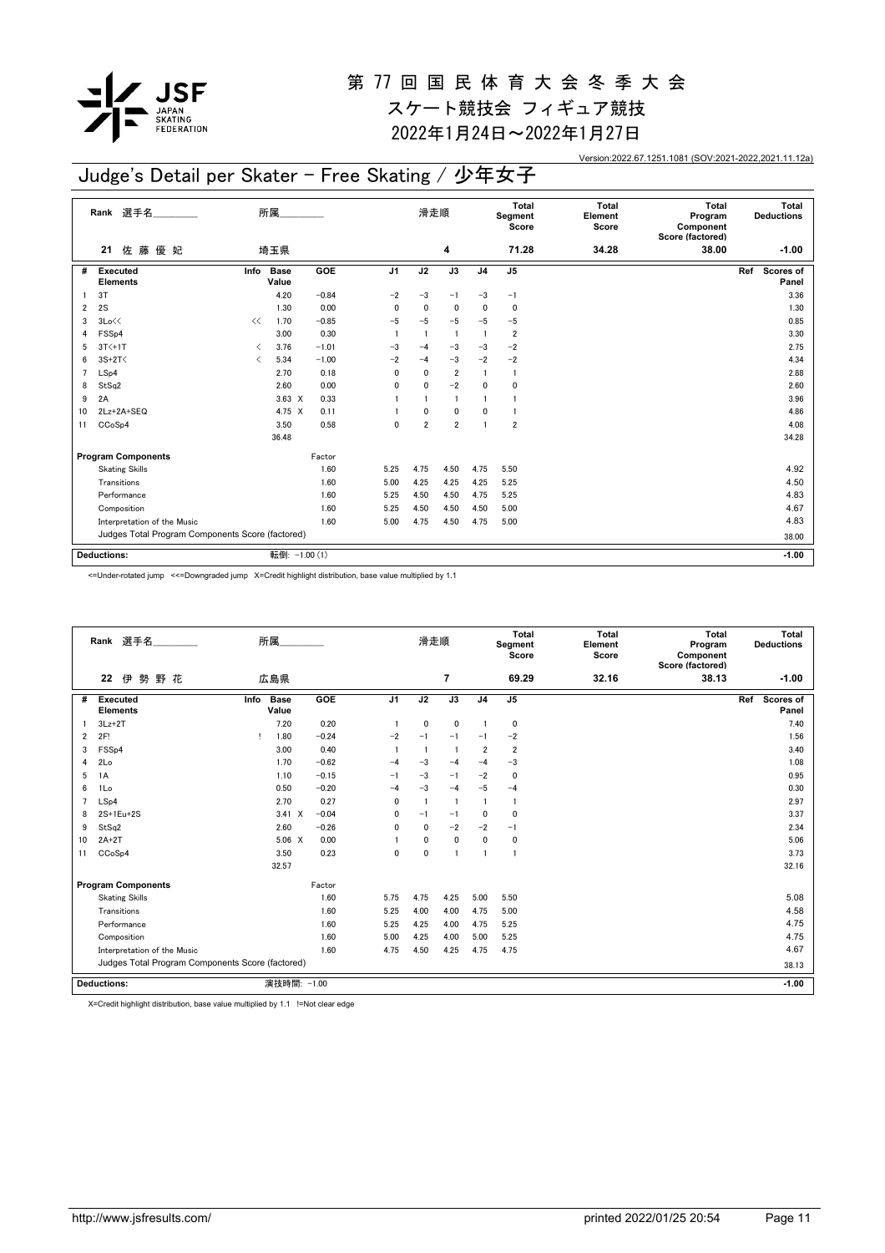

2022年1月24日~2022年1月27日

Version:2022.67.1251.1081 (SOV:2021-2022,2021.11.12a)

## Judge's Detail per Skater - Free Skating / 少年女子

|                | 選手名<br>Rank                                      |                               | 所属                   |            |                | 滑走順                     |                |                | Total<br>Segment<br>Score | <b>Total</b><br>Element<br>Score | <b>Total</b><br>Program<br>Component<br>Score (factored) | Total<br><b>Deductions</b> |
|----------------|--------------------------------------------------|-------------------------------|----------------------|------------|----------------|-------------------------|----------------|----------------|---------------------------|----------------------------------|----------------------------------------------------------|----------------------------|
|                | 佐藤優妃<br>21                                       |                               | 埼玉県                  |            |                |                         | 4              |                | 71.28                     | 34.28                            | 38.00                                                    | $-1.00$                    |
| #              | <b>Executed</b><br><b>Elements</b>               | Info                          | <b>Base</b><br>Value | <b>GOE</b> | J <sub>1</sub> | J2                      | J3             | J <sub>4</sub> | J <sub>5</sub>            |                                  |                                                          | Ref<br>Scores of<br>Panel  |
|                | 3T                                               |                               | 4.20                 | $-0.84$    | $-2$           | $-3$                    | $-1$           | $-3$           | $-1$                      |                                  |                                                          | 3.36                       |
| 2              | 2S                                               |                               | 1.30                 | 0.00       | 0              | $\mathbf 0$             | $\mathbf 0$    | $\mathbf{0}$   | 0                         |                                  |                                                          | 1.30                       |
| 3              | 3Lo<<                                            | <<                            | 1.70                 | $-0.85$    | $-5$           | $-5$                    | $-5$           | $-5$           | $-5$                      |                                  |                                                          | 0.85                       |
| 4              | FSS <sub>p4</sub>                                |                               | 3.00                 | 0.30       |                | $\overline{\mathbf{1}}$ | -1             | $\overline{1}$ | $\overline{\mathbf{2}}$   |                                  |                                                          | 3.30                       |
| 5              | $3T<+1T$                                         | $\overline{\left( \right. }%$ | 3.76                 | $-1.01$    | $-3$           | $-4$                    | $-3$           | $-3$           | $-2$                      |                                  |                                                          | 2.75                       |
| 6              | $3S+2T<$                                         | ≺                             | 5.34                 | $-1.00$    | $-2$           | $-4$                    | $-3$           | $-2$           | $-2$                      |                                  |                                                          | 4.34                       |
| $\overline{7}$ | LSp4                                             |                               | 2.70                 | 0.18       | 0              | $\mathbf{0}$            | $\overline{2}$ | $\mathbf{1}$   | 1                         |                                  |                                                          | 2.88                       |
| 8              | StSq2                                            |                               | 2.60                 | 0.00       | 0              | $\mathbf 0$             | $-2$           | $\mathbf{0}$   | 0                         |                                  |                                                          | 2.60                       |
| 9              | 2A                                               |                               | $3.63 \times$        | 0.33       |                |                         | $\overline{1}$ | $\mathbf{1}$   | 1                         |                                  |                                                          | 3.96                       |
| 10             | 2Lz+2A+SEQ                                       |                               | 4.75 X               | 0.11       |                | 0                       | 0              | 0              | 1                         |                                  |                                                          | 4.86                       |
| 11             | CCoSp4                                           |                               | 3.50                 | 0.58       | $\mathbf{0}$   | $\overline{2}$          | $\overline{2}$ | $\mathbf{1}$   | $\overline{2}$            |                                  |                                                          | 4.08                       |
|                |                                                  |                               | 36.48                |            |                |                         |                |                |                           |                                  |                                                          | 34.28                      |
|                | <b>Program Components</b>                        |                               |                      | Factor     |                |                         |                |                |                           |                                  |                                                          |                            |
|                | <b>Skating Skills</b>                            |                               |                      | 1.60       | 5.25           | 4.75                    | 4.50           | 4.75           | 5.50                      |                                  |                                                          | 4.92                       |
|                | Transitions                                      |                               |                      | 1.60       | 5.00           | 4.25                    | 4.25           | 4.25           | 5.25                      |                                  |                                                          | 4.50                       |
|                | Performance                                      |                               |                      | 1.60       | 5.25           | 4.50                    | 4.50           | 4.75           | 5.25                      |                                  |                                                          | 4.83                       |
|                | Composition                                      |                               |                      | 1.60       | 5.25           | 4.50                    | 4.50           | 4.50           | 5.00                      |                                  |                                                          | 4.67                       |
|                | Interpretation of the Music                      |                               |                      | 1.60       | 5.00           | 4.75                    | 4.50           | 4.75           | 5.00                      |                                  |                                                          | 4.83                       |
|                | Judges Total Program Components Score (factored) |                               |                      |            |                |                         |                |                |                           |                                  |                                                          | 38.00                      |
|                |                                                  |                               |                      |            |                |                         |                |                |                           |                                  |                                                          |                            |
|                | <b>Deductions:</b>                               |                               | 転倒: -1.00 (1)        |            |                |                         |                |                |                           |                                  |                                                          | $-1.00$                    |

<=Under-rotated jump <<=Downgraded jump X=Credit highlight distribution, base value multiplied by 1.1

|                | Rank 選手名                                         | 所属                   |         |                | 滑走順          |                |                | Total<br>Segment<br>Score | Total<br>Element<br>Score | Total<br>Program<br>Component<br>Score (factored) | Total<br><b>Deductions</b> |
|----------------|--------------------------------------------------|----------------------|---------|----------------|--------------|----------------|----------------|---------------------------|---------------------------|---------------------------------------------------|----------------------------|
|                | 勢<br>野花<br>22<br>伊                               | 広島県                  |         |                |              | 7              |                | 69.29                     | 32.16                     | 38.13                                             | $-1.00$                    |
| #              | Info<br><b>Executed</b><br><b>Elements</b>       | <b>Base</b><br>Value | GOE     | J <sub>1</sub> | J2           | J3             | J <sub>4</sub> | J <sub>5</sub>            |                           |                                                   | Ref<br>Scores of<br>Panel  |
|                | $3Lz+2T$                                         | 7.20                 | 0.20    |                | 0            | 0              |                | $\mathbf 0$               |                           |                                                   | 7.40                       |
| $\overline{2}$ | 2F!                                              | 1.80                 | $-0.24$ | $-2$           | $-1$         | $-1$           | $-1$           | $-2$                      |                           |                                                   | 1.56                       |
| 3              | FSS <sub>p4</sub>                                | 3.00                 | 0.40    |                |              | $\overline{1}$ | $\overline{2}$ | $\overline{2}$            |                           |                                                   | 3.40                       |
| 4              | 2Lo                                              | 1.70                 | $-0.62$ | $-4$           | $-3$         | $-4$           | $-4$           | $-3$                      |                           |                                                   | 1.08                       |
| 5              | 1A                                               | 1.10                 | $-0.15$ | $-1$           | $-3$         | $-1$           | $-2$           | $\mathbf 0$               |                           |                                                   | 0.95                       |
| 6              | 1Lo                                              | 0.50                 | $-0.20$ | $-4$           | $-3$         | $-4$           | $-5$           | $-4$                      |                           |                                                   | 0.30                       |
| $\overline{7}$ | LSp4                                             | 2.70                 | 0.27    | $\mathbf{0}$   |              | $\overline{1}$ |                | $\overline{1}$            |                           |                                                   | 2.97                       |
| 8              | 2S+1Eu+2S                                        | $3.41 \times$        | $-0.04$ | 0              | $-1$         | $-1$           | 0              | 0                         |                           |                                                   | 3.37                       |
| 9              | StSq2                                            | 2.60                 | $-0.26$ | $\mathbf{0}$   | $\mathbf{0}$ | $-2$           | $-2$           | $-1$                      |                           |                                                   | 2.34                       |
| 10             | $2A+2T$                                          | $5.06 \quad X$       | 0.00    |                | $\mathbf 0$  | $\mathbf{0}$   | $\mathbf 0$    | $\mathbf 0$               |                           |                                                   | 5.06                       |
| 11             | CC <sub>o</sub> S <sub>p4</sub>                  | 3.50                 | 0.23    | $\mathbf{0}$   | $\mathbf 0$  | 1              | $\mathbf{1}$   | $\mathbf{1}$              |                           |                                                   | 3.73                       |
|                |                                                  | 32.57                |         |                |              |                |                |                           |                           |                                                   | 32.16                      |
|                | <b>Program Components</b>                        |                      | Factor  |                |              |                |                |                           |                           |                                                   |                            |
|                | <b>Skating Skills</b>                            |                      | 1.60    | 5.75           | 4.75         | 4.25           | 5.00           | 5.50                      |                           |                                                   | 5.08                       |
|                | Transitions                                      |                      | 1.60    | 5.25           | 4.00         | 4.00           | 4.75           | 5.00                      |                           |                                                   | 4.58                       |
|                | Performance                                      |                      | 1.60    | 5.25           | 4.25         | 4.00           | 4.75           | 5.25                      |                           |                                                   | 4.75                       |
|                | Composition                                      |                      | 1.60    | 5.00           | 4.25         | 4.00           | 5.00           | 5.25                      |                           |                                                   | 4.75                       |
|                | Interpretation of the Music                      |                      | 1.60    | 4.75           | 4.50         | 4.25           | 4.75           | 4.75                      |                           |                                                   | 4.67                       |
|                | Judges Total Program Components Score (factored) |                      |         |                |              |                |                |                           |                           | 38.13                                             |                            |
|                | <b>Deductions:</b>                               | 演技時間: -1.00          |         |                |              |                |                |                           |                           |                                                   | $-1.00$                    |

X=Credit highlight distribution, base value multiplied by 1.1 !=Not clear edge